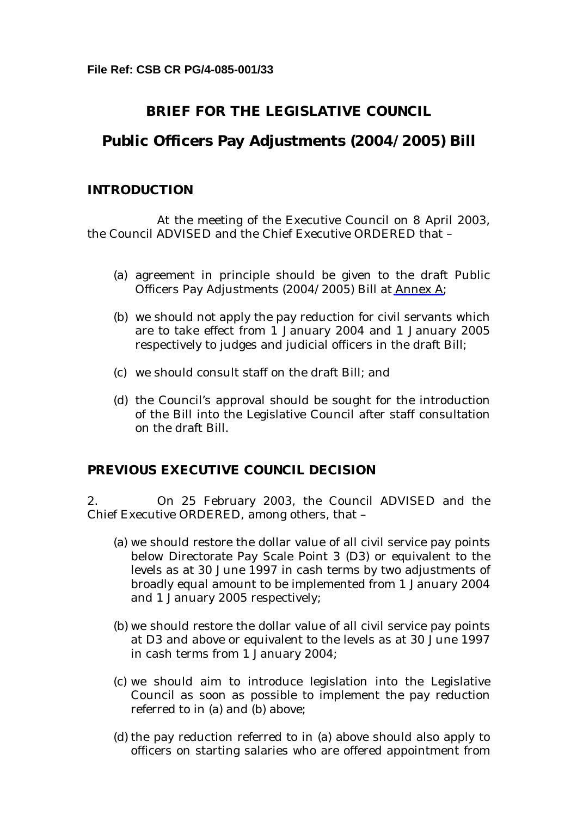# **BRIEF FOR THE LEGISLATIVE COUNCIL**

# **Public Officers Pay Adjustments (2004/2005) Bill**

### **INTRODUCTION**

At the meeting of the Executive Council on 8 April 2003, the Council ADVISED and the Chief Executive ORDERED that –

- (a) agreement in principle should be given to the draft Public Officers Pay Adjustments (2004/2005) Bill at Annex A;
- (b) we should not apply the pay reduction for civil servants which are to take effect from 1 January 2004 and 1 January 2005 respectively to judges and judicial officers in the draft Bill;
- (c) we should consult staff on the draft Bill; and
- (d) the Council's approval should be sought for the introduction of the Bill into the Legislative Council after staff consultation on the draft Bill.

# **PREVIOUS EXECUTIVE COUNCIL DECISION**

2. On 25 February 2003, the Council ADVISED and the Chief Executive ORDERED, among others, that –

- (a) we should restore the dollar value of all civil service pay points below Directorate Pay Scale Point 3 (D3) or equivalent to the levels as at 30 June 1997 in cash terms by two adjustments of broadly equal amount to be implemented from 1 January 2004 and 1 January 2005 respectively;
- (b) we should restore the dollar value of all civil service pay points at D3 and above or equivalent to the levels as at 30 June 1997 in cash terms from 1 January 2004;
- (c) we should aim to introduce legislation into the Legislative Council as soon as possible to implement the pay reduction referred to in (a) and (b) above;
- (d) the pay reduction referred to in (a) above should also apply to officers on starting salaries who are offered appointment from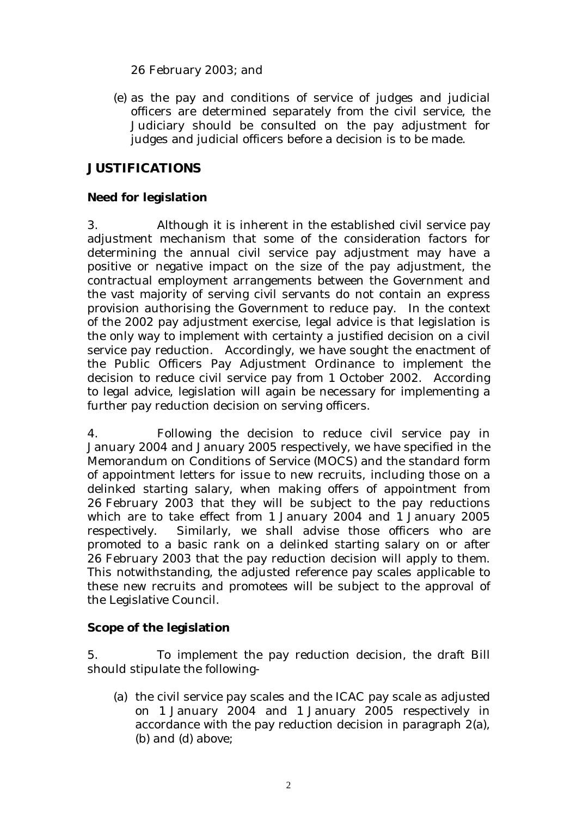26 February 2003; and

(e) as the pay and conditions of service of judges and judicial officers are determined separately from the civil service, the Judiciary should be consulted on the pay adjustment for judges and judicial officers before a decision is to be made.

# **JUSTIFICATIONS**

### **Need for legislation**

3. Although it is inherent in the established civil service pay adjustment mechanism that some of the consideration factors for determining the annual civil service pay adjustment may have a positive or negative impact on the size of the pay adjustment, the contractual employment arrangements between the Government and the vast majority of serving civil servants do not contain an express provision authorising the Government to reduce pay. In the context of the 2002 pay adjustment exercise, legal advice is that legislation is the only way to implement with certainty a justified decision on a civil service pay reduction. Accordingly, we have sought the enactment of the Public Officers Pay Adjustment Ordinance to implement the decision to reduce civil service pay from 1 October 2002. According to legal advice, legislation will again be necessary for implementing a further pay reduction decision on serving officers.

4. Following the decision to reduce civil service pay in January 2004 and January 2005 respectively, we have specified in the Memorandum on Conditions of Service (MOCS) and the standard form of appointment letters for issue to new recruits, including those on a delinked starting salary, when making offers of appointment from 26 February 2003 that they will be subject to the pay reductions which are to take effect from 1 January 2004 and 1 January 2005 respectively. Similarly, we shall advise those officers who are promoted to a basic rank on a delinked starting salary on or after 26 February 2003 that the pay reduction decision will apply to them. This notwithstanding, the adjusted reference pay scales applicable to these new recruits and promotees will be subject to the approval of the Legislative Council.

**Scope of the legislation** 

5. To implement the pay reduction decision, the draft Bill should stipulate the following-

(a) the civil service pay scales and the ICAC pay scale as adjusted on 1 January 2004 and 1 January 2005 respectively in accordance with the pay reduction decision in paragraph 2(a), (b) and (d) above;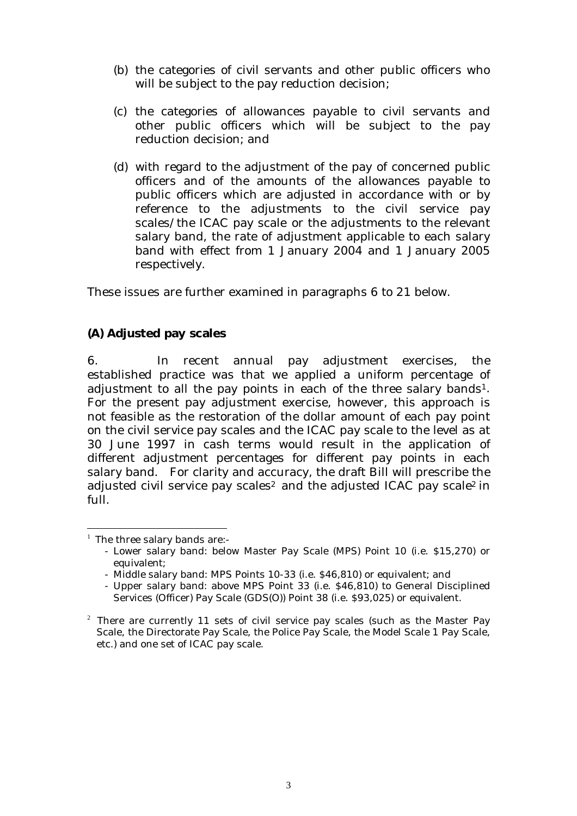- (b) the categories of civil servants and other public officers who will be subject to the pay reduction decision;
- (c) the categories of allowances payable to civil servants and other public officers which will be subject to the pay reduction decision; and
- (d) with regard to the adjustment of the pay of concerned public officers and of the amounts of the allowances payable to public officers which are adjusted in accordance with or by reference to the adjustments to the civil service pay scales/the ICAC pay scale or the adjustments to the relevant salary band, the rate of adjustment applicable to each salary band with effect from 1 January 2004 and 1 January 2005 respectively.

These issues are further examined in paragraphs 6 to 21 below.

**(A) Adjusted pay scales** 

6. In recent annual pay adjustment exercises, the established practice was that we applied a uniform percentage of adjustment to all the pay points in each of the three salary bands<sup>1</sup>. For the present pay adjustment exercise, however, this approach is not feasible as the restoration of the dollar amount of each pay point on the civil service pay scales and the ICAC pay scale to the level as at 30 June 1997 in cash terms would result in the application of different adjustment percentages for different pay points in each salary band. For clarity and accuracy, the draft Bill will prescribe the adjusted civil service pay scales<sup>2</sup> and the adjusted ICAC pay scale<sup>2</sup> in full.

 $\overline{a}$ 

 $1$  The three salary bands are:-

<sup>-</sup> Lower salary band: below Master Pay Scale (MPS) Point 10 (i.e. \$15,270) or equivalent;

<sup>-</sup> Middle salary band: MPS Points 10-33 (i.e. \$46,810) or equivalent; and

<sup>-</sup> Upper salary band: above MPS Point 33 (i.e. \$46,810) to General Disciplined Services (Officer) Pay Scale (GDS(O)) Point 38 (i.e. \$93,025) or equivalent.

 $2$  There are currently 11 sets of civil service pay scales (such as the Master Pay Scale, the Directorate Pay Scale, the Police Pay Scale, the Model Scale 1 Pay Scale, etc.) and one set of ICAC pay scale.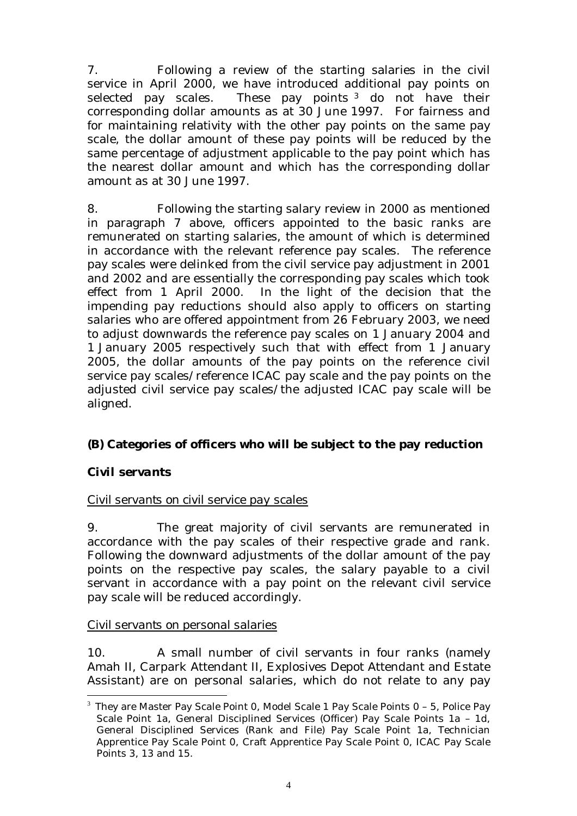7. Following a review of the starting salaries in the civil service in April 2000, we have introduced additional pay points on selected pay scales. These pay points <sup>3</sup> do not have their corresponding dollar amounts as at 30 June 1997. For fairness and for maintaining relativity with the other pay points on the same pay scale, the dollar amount of these pay points will be reduced by the same percentage of adjustment applicable to the pay point which has the nearest dollar amount and which has the corresponding dollar amount as at 30 June 1997.

8. Following the starting salary review in 2000 as mentioned in paragraph 7 above, officers appointed to the basic ranks are remunerated on starting salaries, the amount of which is determined in accordance with the relevant reference pay scales. The reference pay scales were delinked from the civil service pay adjustment in 2001 and 2002 and are essentially the corresponding pay scales which took effect from 1 April 2000. In the light of the decision that the impending pay reductions should also apply to officers on starting salaries who are offered appointment from 26 February 2003, we need to adjust downwards the reference pay scales on 1 January 2004 and 1 January 2005 respectively such that with effect from 1 January 2005, the dollar amounts of the pay points on the reference civil service pay scales/reference ICAC pay scale and the pay points on the adjusted civil service pay scales/the adjusted ICAC pay scale will be aligned.

**(B) Categories of officers who will be subject to the pay reduction** 

*Civil servants* 

### *Civil servants on civil service pay scales*

9. The great majority of civil servants are remunerated in accordance with the pay scales of their respective grade and rank. Following the downward adjustments of the dollar amount of the pay points on the respective pay scales, the salary payable to a civil servant in accordance with a pay point on the relevant civil service pay scale will be reduced accordingly.

### *Civil servants on personal salaries*

10. A small number of civil servants in four ranks (namely Amah II, Carpark Attendant II, Explosives Depot Attendant and Estate Assistant) are on personal salaries, which do not relate to any pay

 $\overline{a}$  $3$  They are Master Pay Scale Point 0, Model Scale 1 Pay Scale Points  $0$  – 5, Police Pay Scale Point 1a, General Disciplined Services (Officer) Pay Scale Points 1a – 1d, General Disciplined Services (Rank and File) Pay Scale Point 1a, Technician Apprentice Pay Scale Point 0, Craft Apprentice Pay Scale Point 0, ICAC Pay Scale Points 3, 13 and 15.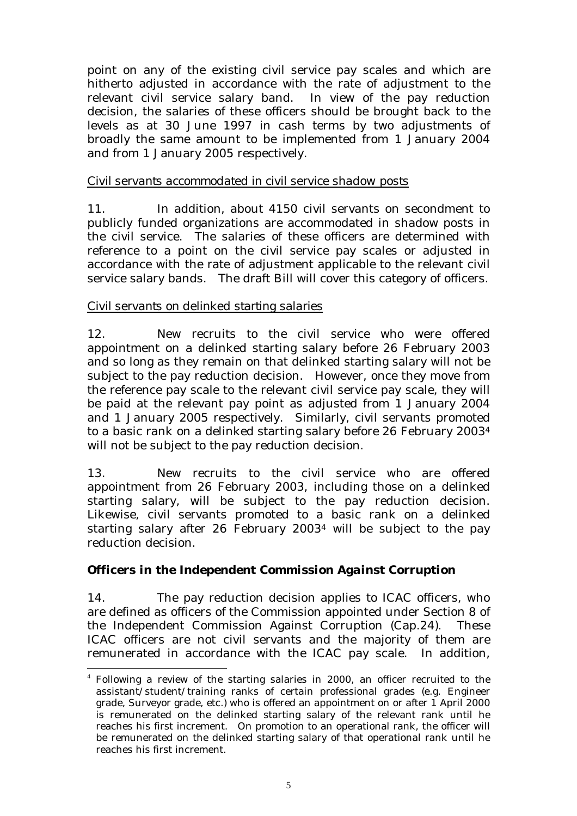point on any of the existing civil service pay scales and which are hitherto adjusted in accordance with the rate of adjustment to the relevant civil service salary band. In view of the pay reduction decision, the salaries of these officers should be brought back to the levels as at 30 June 1997 in cash terms by two adjustments of broadly the same amount to be implemented from 1 January 2004 and from 1 January 2005 respectively.

#### *Civil servants accommodated in civil service shadow posts*

11. In addition, about 4150 civil servants on secondment to publicly funded organizations are accommodated in shadow posts in the civil service. The salaries of these officers are determined with reference to a point on the civil service pay scales or adjusted in accordance with the rate of adjustment applicable to the relevant civil service salary bands. The draft Bill will cover this category of officers.

#### *Civil servants on delinked starting salaries*

 $\overline{a}$ 

12. New recruits to the civil service who were offered appointment on a delinked starting salary before 26 February 2003 and so long as they remain on that delinked starting salary will not be subject to the pay reduction decision. However, once they move from the reference pay scale to the relevant civil service pay scale, they will be paid at the relevant pay point as adjusted from 1 January 2004 and 1 January 2005 respectively. Similarly, civil servants promoted to a basic rank on a delinked starting salary before 26 February 20034 will not be subject to the pay reduction decision.

13. New recruits to the civil service who are offered appointment from 26 February 2003, including those on a delinked starting salary, will be subject to the pay reduction decision. Likewise, civil servants promoted to a basic rank on a delinked starting salary after 26 February 20034 will be subject to the pay reduction decision.

*Officers in the Independent Commission Against Corruption* 

14. The pay reduction decision applies to ICAC officers, who are defined as officers of the Commission appointed under Section 8 of the Independent Commission Against Corruption (Cap.24). These ICAC officers are not civil servants and the majority of them are remunerated in accordance with the ICAC pay scale. In addition,

<sup>4</sup> Following a review of the starting salaries in 2000, an officer recruited to the assistant/student/training ranks of certain professional grades (e.g. Engineer grade, Surveyor grade, etc.) who is offered an appointment on or after 1 April 2000 is remunerated on the delinked starting salary of the relevant rank until he reaches his first increment. On promotion to an operational rank, the officer will be remunerated on the delinked starting salary of that operational rank until he reaches his first increment.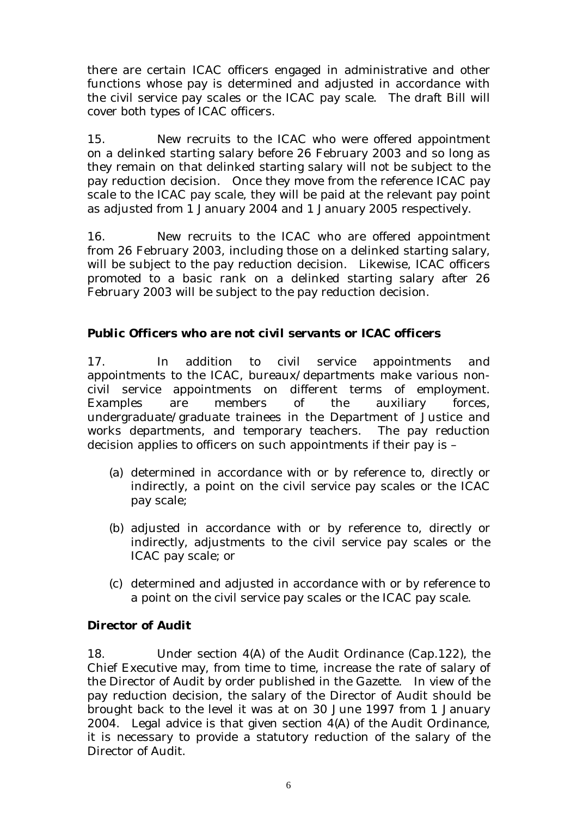there are certain ICAC officers engaged in administrative and other functions whose pay is determined and adjusted in accordance with the civil service pay scales or the ICAC pay scale. The draft Bill will cover both types of ICAC officers.

15. New recruits to the ICAC who were offered appointment on a delinked starting salary before 26 February 2003 and so long as they remain on that delinked starting salary will not be subject to the pay reduction decision. Once they move from the reference ICAC pay scale to the ICAC pay scale, they will be paid at the relevant pay point as adjusted from 1 January 2004 and 1 January 2005 respectively.

16. New recruits to the ICAC who are offered appointment from 26 February 2003, including those on a delinked starting salary, will be subject to the pay reduction decision. Likewise, ICAC officers promoted to a basic rank on a delinked starting salary after 26 February 2003 will be subject to the pay reduction decision.

*Public Officers who are not civil servants or ICAC officers* 

17. In addition to civil service appointments and appointments to the ICAC, bureaux/departments make various noncivil service appointments on different terms of employment. Examples are members of the auxiliary forces, undergraduate/graduate trainees in the Department of Justice and works departments, and temporary teachers. The pay reduction decision applies to officers on such appointments if their pay is –

- (a) determined in accordance with or by reference to, directly or indirectly, a point on the civil service pay scales or the ICAC pay scale;
- (b) adjusted in accordance with or by reference to, directly or indirectly, adjustments to the civil service pay scales or the ICAC pay scale; or
- (c) determined and adjusted in accordance with or by reference to a point on the civil service pay scales or the ICAC pay scale.

*Director of Audit* 

18. Under section 4(A) of the Audit Ordinance (Cap.122), the Chief Executive may, from time to time, increase the rate of salary of the Director of Audit by order published in the Gazette. In view of the pay reduction decision, the salary of the Director of Audit should be brought back to the level it was at on 30 June 1997 from 1 January 2004. Legal advice is that given section 4(A) of the Audit Ordinance, it is necessary to provide a statutory reduction of the salary of the Director of Audit.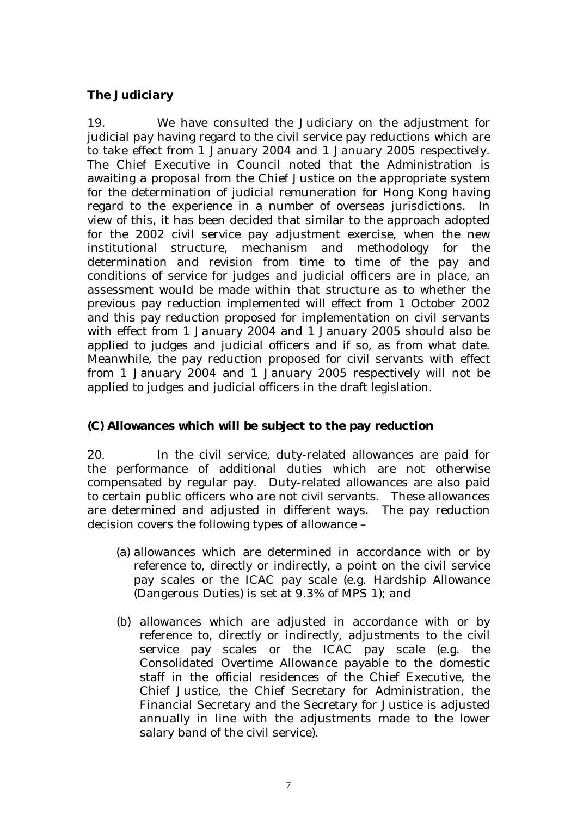### *The Judiciary*

19. We have consulted the Judiciary on the adjustment for judicial pay having regard to the civil service pay reductions which are to take effect from 1 January 2004 and 1 January 2005 respectively. The Chief Executive in Council noted that the Administration is awaiting a proposal from the Chief Justice on the appropriate system for the determination of judicial remuneration for Hong Kong having regard to the experience in a number of overseas jurisdictions. In view of this, it has been decided that similar to the approach adopted for the 2002 civil service pay adjustment exercise, when the new institutional structure, mechanism and methodology for the determination and revision from time to time of the pay and conditions of service for judges and judicial officers are in place, an assessment would be made within that structure as to whether the previous pay reduction implemented will effect from 1 October 2002 and this pay reduction proposed for implementation on civil servants with effect from 1 January 2004 and 1 January 2005 should also be applied to judges and judicial officers and if so, as from what date. Meanwhile, the pay reduction proposed for civil servants with effect from 1 January 2004 and 1 January 2005 respectively will not be applied to judges and judicial officers in the draft legislation.

# **(C) Allowances which will be subject to the pay reduction**

20. In the civil service, duty-related allowances are paid for the performance of additional duties which are not otherwise compensated by regular pay. Duty-related allowances are also paid to certain public officers who are not civil servants. These allowances are determined and adjusted in different ways. The pay reduction decision covers the following types of allowance –

- (a) allowances which are determined in accordance with or by reference to, directly or indirectly, a point on the civil service pay scales or the ICAC pay scale (e.g. Hardship Allowance (Dangerous Duties) is set at 9.3% of MPS 1); and
- (b) allowances which are adjusted in accordance with or by reference to, directly or indirectly, adjustments to the civil service pay scales or the ICAC pay scale (e.g. the Consolidated Overtime Allowance payable to the domestic staff in the official residences of the Chief Executive, the Chief Justice, the Chief Secretary for Administration, the Financial Secretary and the Secretary for Justice is adjusted annually in line with the adjustments made to the lower salary band of the civil service).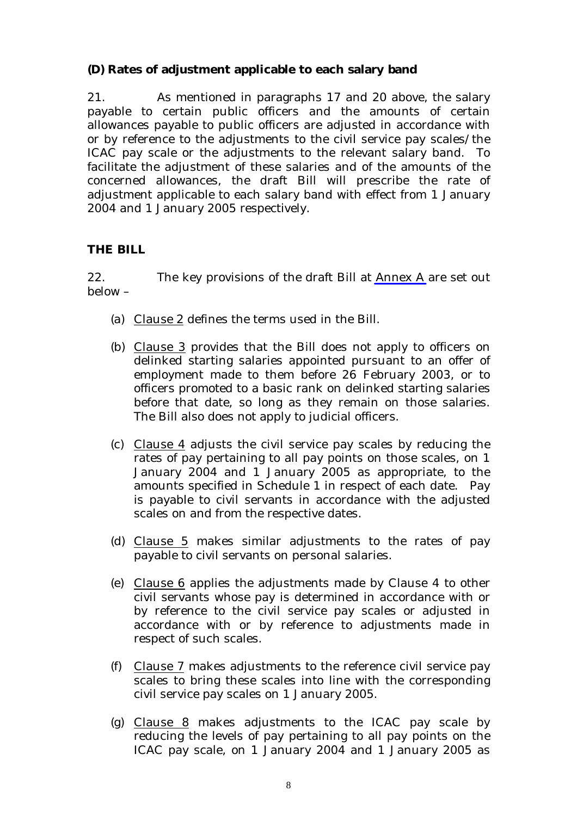**(D) Rates of adjustment applicable to each salary band** 

21. As mentioned in paragraphs 17 and 20 above, the salary payable to certain public officers and the amounts of certain allowances payable to public officers are adjusted in accordance with or by reference to the adjustments to the civil service pay scales/the ICAC pay scale or the adjustments to the relevant salary band. To facilitate the adjustment of these salaries and of the amounts of the concerned allowances, the draft Bill will prescribe the rate of adjustment applicable to each salary band with effect from 1 January 2004 and 1 January 2005 respectively.

### **THE BILL**

22. The key provisions of the draft Bill at Annex A are set out below –

- (a) Clause 2 defines the terms used in the Bill.
- (b) Clause 3 provides that the Bill does not apply to officers on delinked starting salaries appointed pursuant to an offer of employment made to them before 26 February 2003, or to officers promoted to a basic rank on delinked starting salaries before that date, so long as they remain on those salaries. The Bill also does not apply to judicial officers.
- (c) Clause 4 adjusts the civil service pay scales by reducing the rates of pay pertaining to all pay points on those scales, on 1 January 2004 and 1 January 2005 as appropriate, to the amounts specified in Schedule 1 in respect of each date. Pay is payable to civil servants in accordance with the adjusted scales on and from the respective dates.
- (d) Clause 5 makes similar adjustments to the rates of pay payable to civil servants on personal salaries.
- (e) Clause 6 applies the adjustments made by Clause 4 to other civil servants whose pay is determined in accordance with or by reference to the civil service pay scales or adjusted in accordance with or by reference to adjustments made in respect of such scales.
- (f) Clause 7 makes adjustments to the reference civil service pay scales to bring these scales into line with the corresponding civil service pay scales on 1 January 2005.
- (g) Clause 8 makes adjustments to the ICAC pay scale by reducing the levels of pay pertaining to all pay points on the ICAC pay scale, on 1 January 2004 and 1 January 2005 as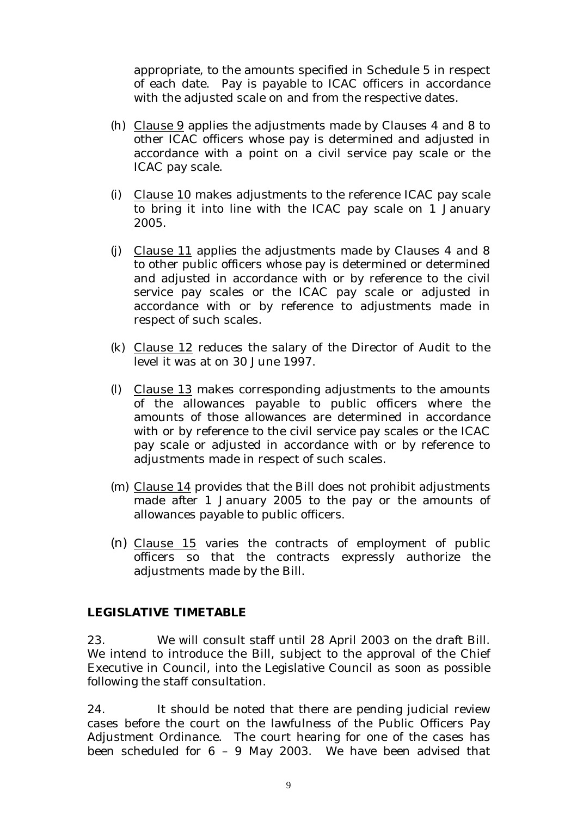appropriate, to the amounts specified in Schedule 5 in respect of each date. Pay is payable to ICAC officers in accordance with the adjusted scale on and from the respective dates.

- (h) Clause 9 applies the adjustments made by Clauses 4 and 8 to other ICAC officers whose pay is determined and adjusted in accordance with a point on a civil service pay scale or the ICAC pay scale.
- (i) Clause 10 makes adjustments to the reference ICAC pay scale to bring it into line with the ICAC pay scale on 1 January 2005.
- (j) Clause 11 applies the adjustments made by Clauses 4 and 8 to other public officers whose pay is determined or determined and adjusted in accordance with or by reference to the civil service pay scales or the ICAC pay scale or adjusted in accordance with or by reference to adjustments made in respect of such scales.
- (k) Clause 12 reduces the salary of the Director of Audit to the level it was at on 30 June 1997.
- (l) Clause 13 makes corresponding adjustments to the amounts of the allowances payable to public officers where the amounts of those allowances are determined in accordance with or by reference to the civil service pay scales or the ICAC pay scale or adjusted in accordance with or by reference to adjustments made in respect of such scales.
- (m) Clause 14 provides that the Bill does not prohibit adjustments made after 1 January 2005 to the pay or the amounts of allowances payable to public officers.
- (n) Clause 15 varies the contracts of employment of public officers so that the contracts expressly authorize the adjustments made by the Bill.

#### **LEGISLATIVE TIMETABLE**

23. We will consult staff until 28 April 2003 on the draft Bill. We intend to introduce the Bill, subject to the approval of the Chief Executive in Council, into the Legislative Council as soon as possible following the staff consultation.

24. It should be noted that there are pending judicial review cases before the court on the lawfulness of the Public Officers Pay Adjustment Ordinance. The court hearing for one of the cases has been scheduled for 6 – 9 May 2003. We have been advised that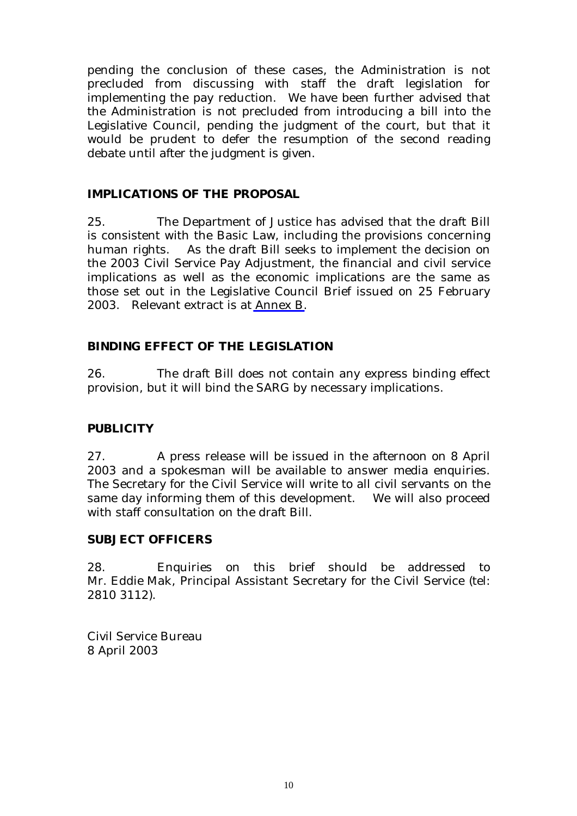pending the conclusion of these cases, the Administration is not precluded from discussing with staff the draft legislation for implementing the pay reduction. We have been further advised that the Administration is not precluded from introducing a bill into the Legislative Council, pending the judgment of the court, but that it would be prudent to defer the resumption of the second reading debate until after the judgment is given.

#### **IMPLICATIONS OF THE PROPOSAL**

25. The Department of Justice has advised that the draft Bill is consistent with the Basic Law, including the provisions concerning human rights. As the draft Bill seeks to implement the decision on the 2003 Civil Service Pay Adjustment, the financial and civil service implications as well as the economic implications are the same as those set out in the Legislative Council Brief issued on 25 February 2003. Relevant extract is at Annex B.

### **BINDING EFFECT OF THE LEGISLATION**

26. The draft Bill does not contain any express binding effect provision, but it will bind the SARG by necessary implications.

#### **PUBLICITY**

27. A press release will be issued in the afternoon on 8 April 2003 and a spokesman will be available to answer media enquiries. The Secretary for the Civil Service will write to all civil servants on the same day informing them of this development. We will also proceed with staff consultation on the draft Bill.

#### **SUBJECT OFFICERS**

28. Enquiries on this brief should be addressed to Mr. Eddie Mak, Principal Assistant Secretary for the Civil Service (tel: 2810 3112).

Civil Service Bureau 8 April 2003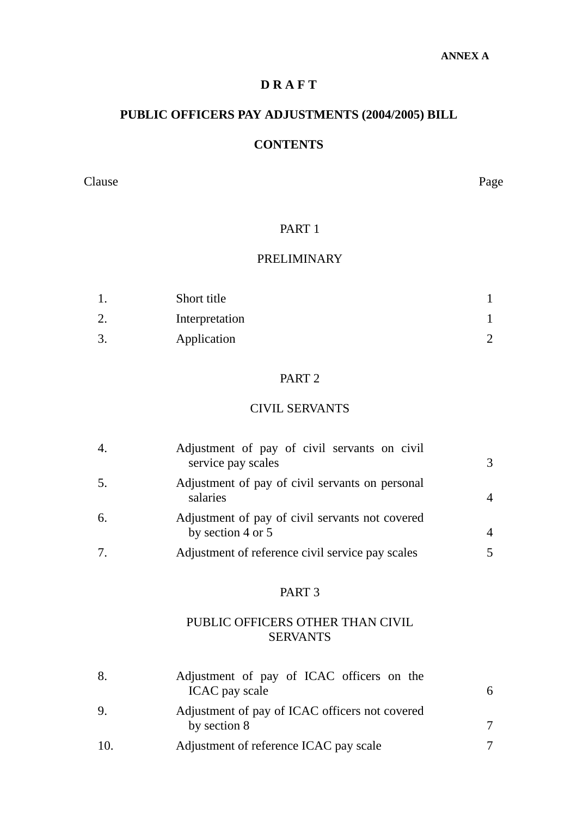# **D R A F T**

# **PUBLIC OFFICERS PAY ADJUSTMENTS (2004/2005) BILL**

## **CONTENTS**

Clause Page

### PART 1

### PRELIMINARY

|     | Short title    |  |
|-----|----------------|--|
|     | Interpretation |  |
| ، ب | Application    |  |

### PART 2

### CIVIL SERVANTS

| 4. | Adjustment of pay of civil servants on civil<br>service pay scales   | 3 |
|----|----------------------------------------------------------------------|---|
| 5. | Adjustment of pay of civil servants on personal<br>salaries          |   |
| 6. | Adjustment of pay of civil servants not covered<br>by section 4 or 5 |   |
| 7. | Adjustment of reference civil service pay scales                     |   |

#### PART 3

## PUBLIC OFFICERS OTHER THAN CIVIL SERVANTS

| 8. | Adjustment of pay of ICAC officers on the<br>ICAC pay scale    |  |
|----|----------------------------------------------------------------|--|
| 9. | Adjustment of pay of ICAC officers not covered<br>by section 8 |  |
|    | Adjustment of reference ICAC pay scale                         |  |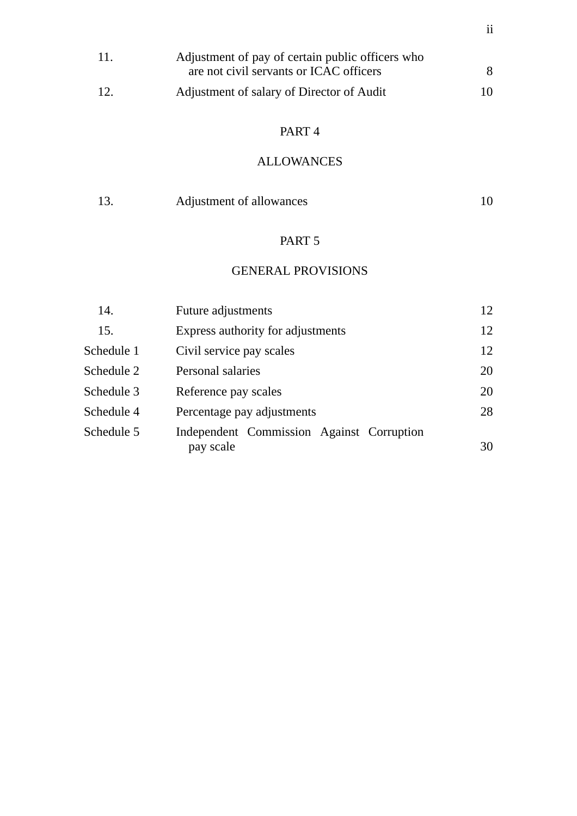| 11. | Adjustment of pay of certain public officers who |    |
|-----|--------------------------------------------------|----|
|     | are not civil servants or ICAC officers          |    |
| 12. | Adjustment of salary of Director of Audit        | 10 |

# PART 4

# ALLOWANCES

| 13. | Adjustment of allowances |  |
|-----|--------------------------|--|
|     |                          |  |

# PART 5

### GENERAL PROVISIONS

| 14.        | Future adjustments                                     | 12 |
|------------|--------------------------------------------------------|----|
| 15.        | Express authority for adjustments                      | 12 |
| Schedule 1 | Civil service pay scales                               | 12 |
| Schedule 2 | Personal salaries                                      | 20 |
| Schedule 3 | Reference pay scales                                   | 20 |
| Schedule 4 | Percentage pay adjustments                             | 28 |
| Schedule 5 | Independent Commission Against Corruption<br>pay scale | 30 |
|            |                                                        |    |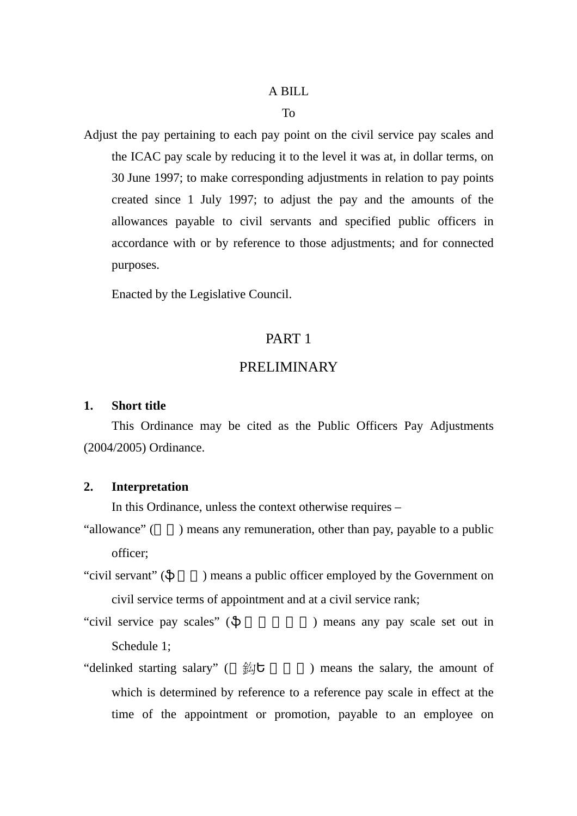#### A BILL

#### To

Adjust the pay pertaining to each pay point on the civil service pay scales and the ICAC pay scale by reducing it to the level it was at, in dollar terms, on 30 June 1997; to make corresponding adjustments in relation to pay points created since 1 July 1997; to adjust the pay and the amounts of the allowances payable to civil servants and specified public officers in accordance with or by reference to those adjustments; and for connected purposes.

Enacted by the Legislative Council.

### PART 1

#### PRELIMINARY

#### **1. Short title**

This Ordinance may be cited as the Public Officers Pay Adjustments (2004/2005) Ordinance.

#### **2. Interpretation**

In this Ordinance, unless the context otherwise requires –

- "allowance" () means any remuneration, other than pay, payable to a public officer;
- "civil servant" () means a public officer employed by the Government on civil service terms of appointment and at a civil service rank;
- "civil service pay scales" (  $\qquad \qquad$ ) means any pay scale set out in Schedule 1;
- "delinked starting salary"  $($   $\frac{20}{27}$  means the salary, the amount of which is determined by reference to a reference pay scale in effect at the time of the appointment or promotion, payable to an employee on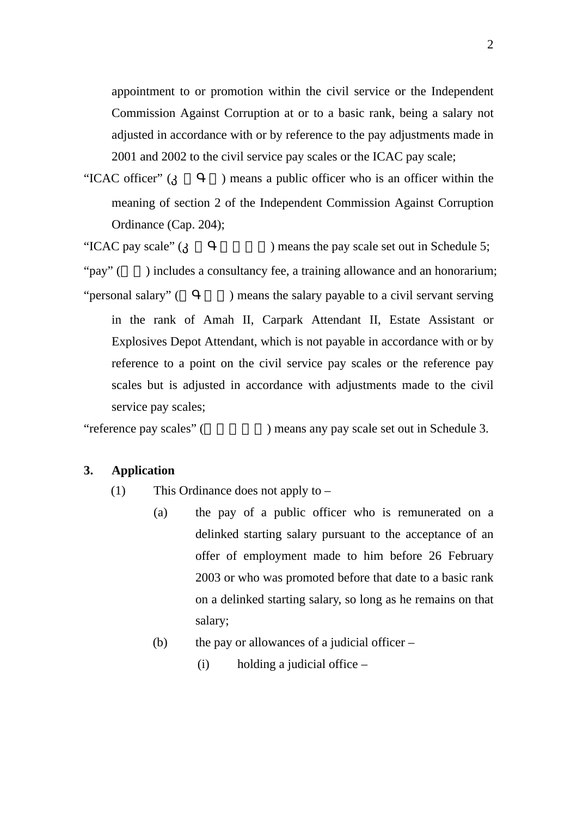appointment to or promotion within the civil service or the Independent Commission Against Corruption at or to a basic rank, being a salary not adjusted in accordance with or by reference to the pay adjustments made in 2001 and 2002 to the civil service pay scales or the ICAC pay scale;

"ICAC officer" () means a public officer who is an officer within the meaning of section 2 of the Independent Commission Against Corruption Ordinance (Cap. 204);

"ICAC pay scale" () means the pay scale set out in Schedule 5;

"pay" () includes a consultancy fee, a training allowance and an honorarium; "personal salary" ( $\Box$ ) means the salary payable to a civil servant serving in the rank of Amah II, Carpark Attendant II, Estate Assistant or Explosives Depot Attendant, which is not payable in accordance with or by reference to a point on the civil service pay scales or the reference pay scales but is adjusted in accordance with adjustments made to the civil service pay scales;

"reference pay scales" (
The same pay scale set out in Schedule 3.

#### **3. Application**

- (1) This Ordinance does not apply to
	- (a) the pay of a public officer who is remunerated on a delinked starting salary pursuant to the acceptance of an offer of employment made to him before 26 February 2003 or who was promoted before that date to a basic rank on a delinked starting salary, so long as he remains on that salary;
	- (b) the pay or allowances of a judicial officer
		- (i) holding a judicial office –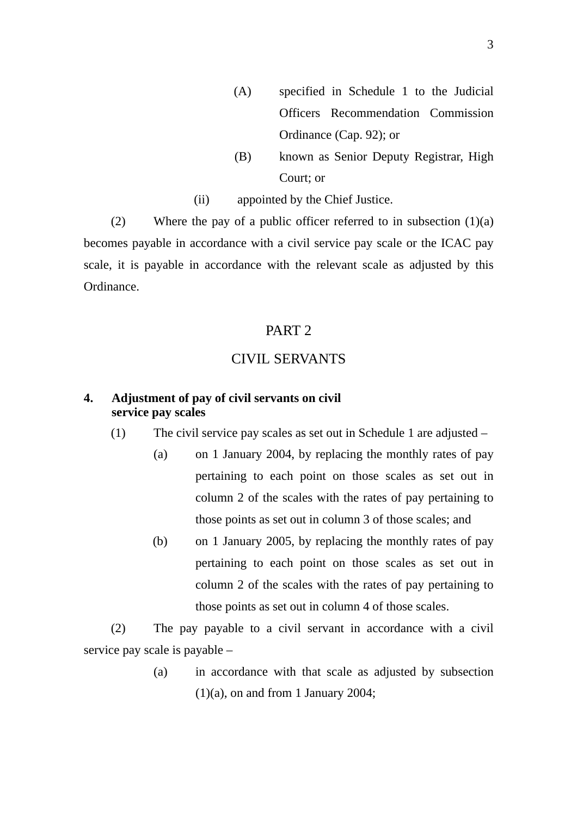- (A) specified in Schedule 1 to the Judicial Officers Recommendation Commission Ordinance (Cap. 92); or
- (B) known as Senior Deputy Registrar, High Court; or
- (ii) appointed by the Chief Justice.

(2) Where the pay of a public officer referred to in subsection  $(1)(a)$ becomes payable in accordance with a civil service pay scale or the ICAC pay scale, it is payable in accordance with the relevant scale as adjusted by this Ordinance.

#### PART 2

### CIVIL SERVANTS

#### **4. Adjustment of pay of civil servants on civil service pay scales**

(1) The civil service pay scales as set out in Schedule 1 are adjusted –

- (a) on 1 January 2004, by replacing the monthly rates of pay pertaining to each point on those scales as set out in column 2 of the scales with the rates of pay pertaining to those points as set out in column 3 of those scales; and
- (b) on 1 January 2005, by replacing the monthly rates of pay pertaining to each point on those scales as set out in column 2 of the scales with the rates of pay pertaining to those points as set out in column 4 of those scales.

(2) The pay payable to a civil servant in accordance with a civil service pay scale is payable –

> (a) in accordance with that scale as adjusted by subsection  $(1)(a)$ , on and from 1 January 2004;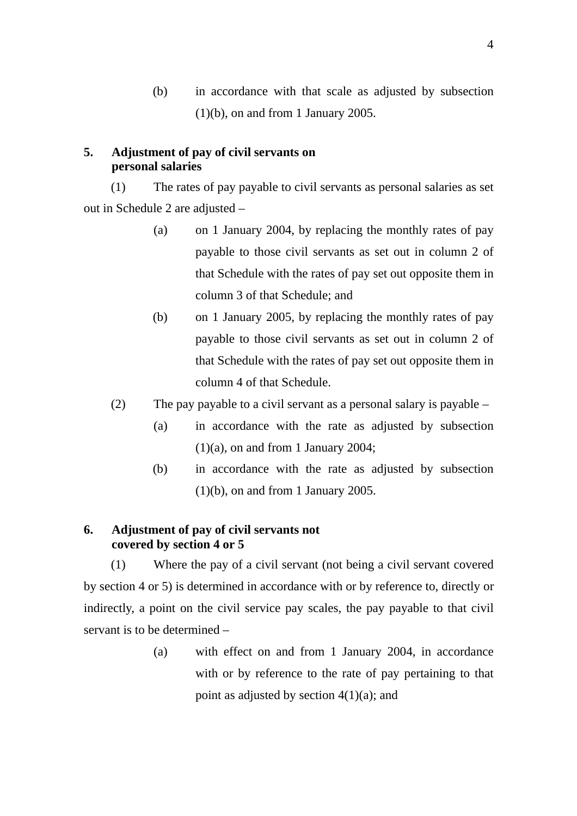(b) in accordance with that scale as adjusted by subsection  $(1)(b)$ , on and from 1 January 2005.

#### **5. Adjustment of pay of civil servants on personal salaries**

(1) The rates of pay payable to civil servants as personal salaries as set out in Schedule 2 are adjusted –

- (a) on 1 January 2004, by replacing the monthly rates of pay payable to those civil servants as set out in column 2 of that Schedule with the rates of pay set out opposite them in column 3 of that Schedule; and
- (b) on 1 January 2005, by replacing the monthly rates of pay payable to those civil servants as set out in column 2 of that Schedule with the rates of pay set out opposite them in column 4 of that Schedule.
- (2) The pay payable to a civil servant as a personal salary is payable
	- (a) in accordance with the rate as adjusted by subsection  $(1)(a)$ , on and from 1 January 2004;
	- (b) in accordance with the rate as adjusted by subsection  $(1)(b)$ , on and from 1 January 2005.

#### **6. Adjustment of pay of civil servants not covered by section 4 or 5**

(1) Where the pay of a civil servant (not being a civil servant covered by section 4 or 5) is determined in accordance with or by reference to, directly or indirectly, a point on the civil service pay scales, the pay payable to that civil servant is to be determined –

> (a) with effect on and from 1 January 2004, in accordance with or by reference to the rate of pay pertaining to that point as adjusted by section  $4(1)(a)$ ; and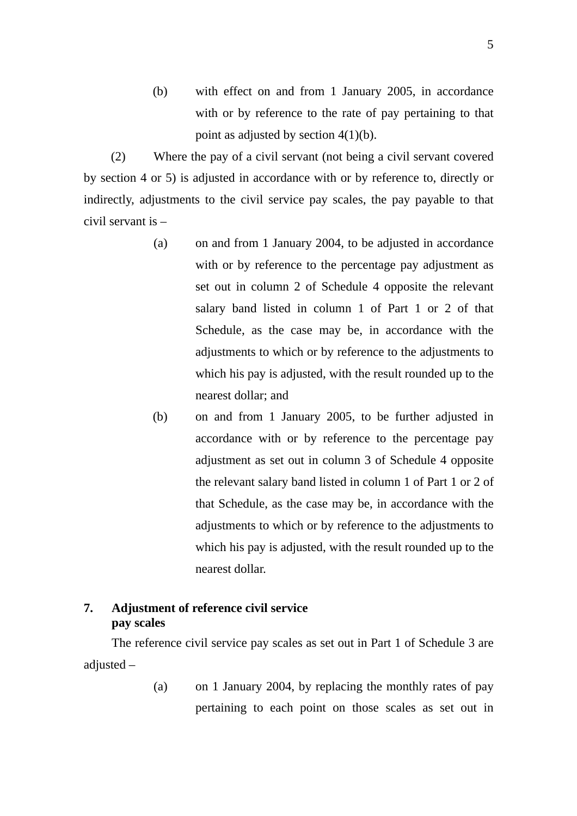(b) with effect on and from 1 January 2005, in accordance with or by reference to the rate of pay pertaining to that point as adjusted by section 4(1)(b).

(2) Where the pay of a civil servant (not being a civil servant covered by section 4 or 5) is adjusted in accordance with or by reference to, directly or indirectly, adjustments to the civil service pay scales, the pay payable to that civil servant is –

- (a) on and from 1 January 2004, to be adjusted in accordance with or by reference to the percentage pay adjustment as set out in column 2 of Schedule 4 opposite the relevant salary band listed in column 1 of Part 1 or 2 of that Schedule, as the case may be, in accordance with the adjustments to which or by reference to the adjustments to which his pay is adjusted, with the result rounded up to the nearest dollar; and
- (b) on and from 1 January 2005, to be further adjusted in accordance with or by reference to the percentage pay adjustment as set out in column 3 of Schedule 4 opposite the relevant salary band listed in column 1 of Part 1 or 2 of that Schedule, as the case may be, in accordance with the adjustments to which or by reference to the adjustments to which his pay is adjusted, with the result rounded up to the nearest dollar.

#### **7. Adjustment of reference civil service pay scales**

 The reference civil service pay scales as set out in Part 1 of Schedule 3 are adjusted –

> (a) on 1 January 2004, by replacing the monthly rates of pay pertaining to each point on those scales as set out in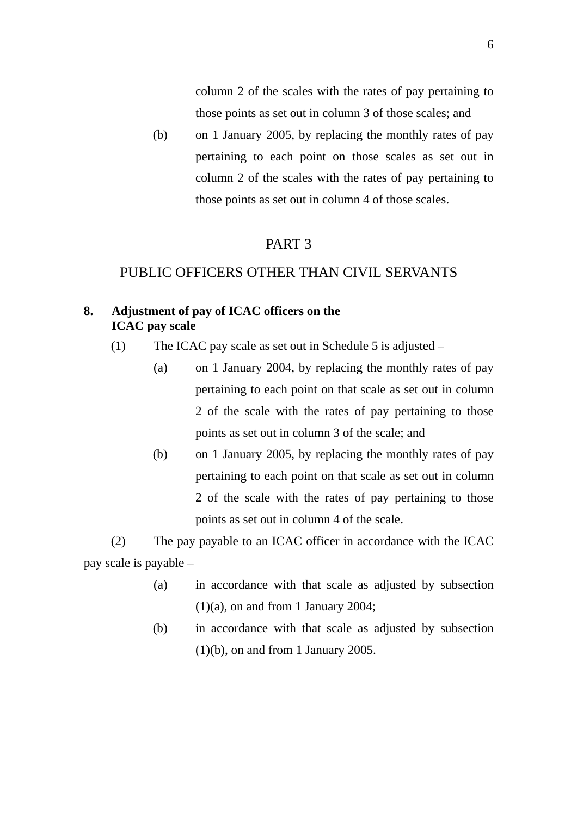column 2 of the scales with the rates of pay pertaining to those points as set out in column 3 of those scales; and

(b) on 1 January 2005, by replacing the monthly rates of pay pertaining to each point on those scales as set out in column 2 of the scales with the rates of pay pertaining to those points as set out in column 4 of those scales.

#### PART 3

### PUBLIC OFFICERS OTHER THAN CIVIL SERVANTS

#### **8. Adjustment of pay of ICAC officers on the ICAC pay scale**

- (1) The ICAC pay scale as set out in Schedule 5 is adjusted
	- (a) on 1 January 2004, by replacing the monthly rates of pay pertaining to each point on that scale as set out in column 2 of the scale with the rates of pay pertaining to those points as set out in column 3 of the scale; and
	- (b) on 1 January 2005, by replacing the monthly rates of pay pertaining to each point on that scale as set out in column 2 of the scale with the rates of pay pertaining to those points as set out in column 4 of the scale.

(2) The pay payable to an ICAC officer in accordance with the ICAC pay scale is payable –

- (a) in accordance with that scale as adjusted by subsection  $(1)(a)$ , on and from 1 January 2004;
- (b) in accordance with that scale as adjusted by subsection  $(1)(b)$ , on and from 1 January 2005.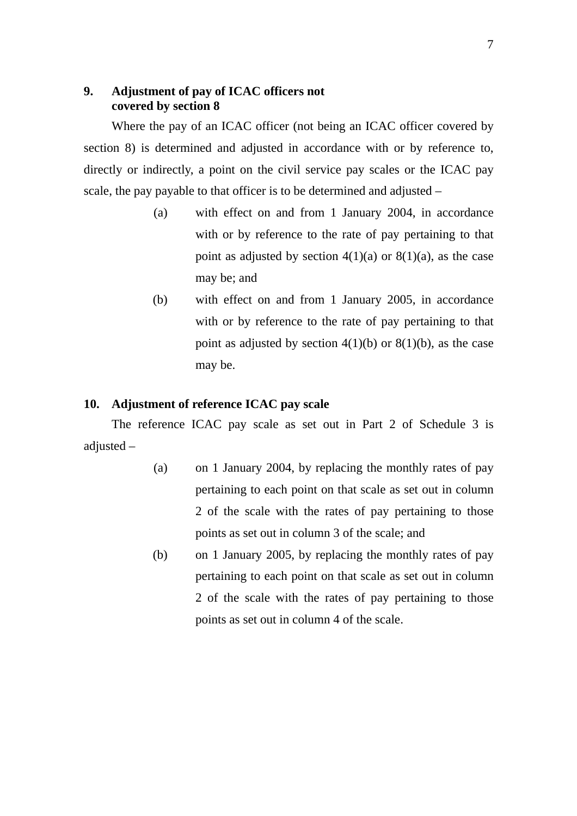### **9. Adjustment of pay of ICAC officers not covered by section 8**

 Where the pay of an ICAC officer (not being an ICAC officer covered by section 8) is determined and adjusted in accordance with or by reference to, directly or indirectly, a point on the civil service pay scales or the ICAC pay scale, the pay payable to that officer is to be determined and adjusted –

- (a) with effect on and from 1 January 2004, in accordance with or by reference to the rate of pay pertaining to that point as adjusted by section  $4(1)(a)$  or  $8(1)(a)$ , as the case may be; and
- (b) with effect on and from 1 January 2005, in accordance with or by reference to the rate of pay pertaining to that point as adjusted by section  $4(1)(b)$  or  $8(1)(b)$ , as the case may be.

#### **10. Adjustment of reference ICAC pay scale**

The reference ICAC pay scale as set out in Part 2 of Schedule 3 is adjusted –

- (a) on 1 January 2004, by replacing the monthly rates of pay pertaining to each point on that scale as set out in column 2 of the scale with the rates of pay pertaining to those points as set out in column 3 of the scale; and
- (b) on 1 January 2005, by replacing the monthly rates of pay pertaining to each point on that scale as set out in column 2 of the scale with the rates of pay pertaining to those points as set out in column 4 of the scale.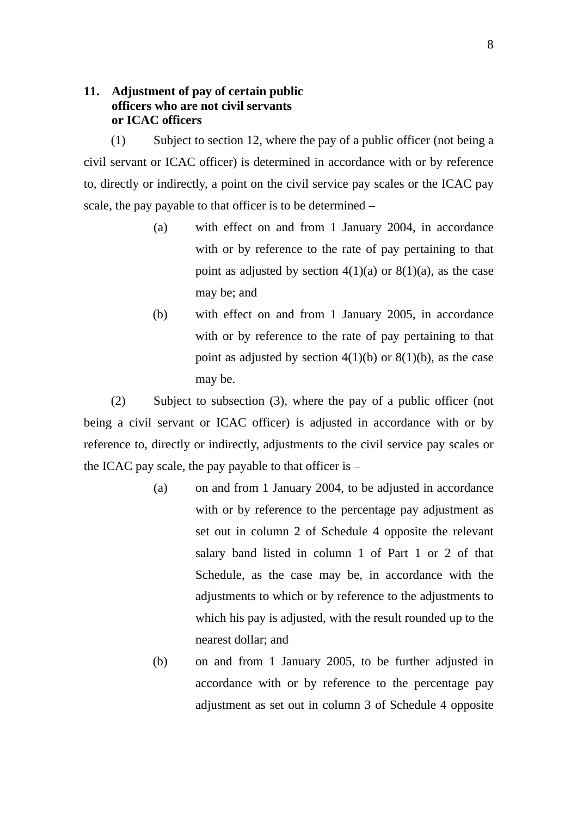### **11. Adjustment of pay of certain public officers who are not civil servants or ICAC officers**

(1) Subject to section 12, where the pay of a public officer (not being a civil servant or ICAC officer) is determined in accordance with or by reference to, directly or indirectly, a point on the civil service pay scales or the ICAC pay scale, the pay payable to that officer is to be determined –

- (a) with effect on and from 1 January 2004, in accordance with or by reference to the rate of pay pertaining to that point as adjusted by section  $4(1)(a)$  or  $8(1)(a)$ , as the case may be; and
- (b) with effect on and from 1 January 2005, in accordance with or by reference to the rate of pay pertaining to that point as adjusted by section  $4(1)(b)$  or  $8(1)(b)$ , as the case may be.

(2) Subject to subsection (3), where the pay of a public officer (not being a civil servant or ICAC officer) is adjusted in accordance with or by reference to, directly or indirectly, adjustments to the civil service pay scales or the ICAC pay scale, the pay payable to that officer is –

- (a) on and from 1 January 2004, to be adjusted in accordance with or by reference to the percentage pay adjustment as set out in column 2 of Schedule 4 opposite the relevant salary band listed in column 1 of Part 1 or 2 of that Schedule, as the case may be, in accordance with the adjustments to which or by reference to the adjustments to which his pay is adjusted, with the result rounded up to the nearest dollar; and
- (b) on and from 1 January 2005, to be further adjusted in accordance with or by reference to the percentage pay adjustment as set out in column 3 of Schedule 4 opposite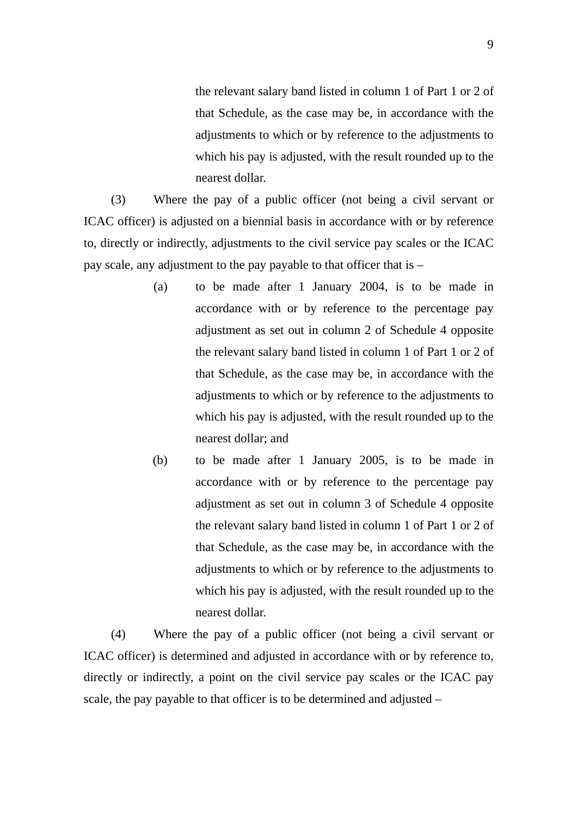the relevant salary band listed in column 1 of Part 1 or 2 of that Schedule, as the case may be, in accordance with the adjustments to which or by reference to the adjustments to which his pay is adjusted, with the result rounded up to the nearest dollar.

(3) Where the pay of a public officer (not being a civil servant or ICAC officer) is adjusted on a biennial basis in accordance with or by reference to, directly or indirectly, adjustments to the civil service pay scales or the ICAC pay scale, any adjustment to the pay payable to that officer that is –

- (a) to be made after 1 January 2004, is to be made in accordance with or by reference to the percentage pay adjustment as set out in column 2 of Schedule 4 opposite the relevant salary band listed in column 1 of Part 1 or 2 of that Schedule, as the case may be, in accordance with the adjustments to which or by reference to the adjustments to which his pay is adjusted, with the result rounded up to the nearest dollar; and
- (b) to be made after 1 January 2005, is to be made in accordance with or by reference to the percentage pay adjustment as set out in column 3 of Schedule 4 opposite the relevant salary band listed in column 1 of Part 1 or 2 of that Schedule, as the case may be, in accordance with the adjustments to which or by reference to the adjustments to which his pay is adjusted, with the result rounded up to the nearest dollar.

(4) Where the pay of a public officer (not being a civil servant or ICAC officer) is determined and adjusted in accordance with or by reference to, directly or indirectly, a point on the civil service pay scales or the ICAC pay scale, the pay payable to that officer is to be determined and adjusted –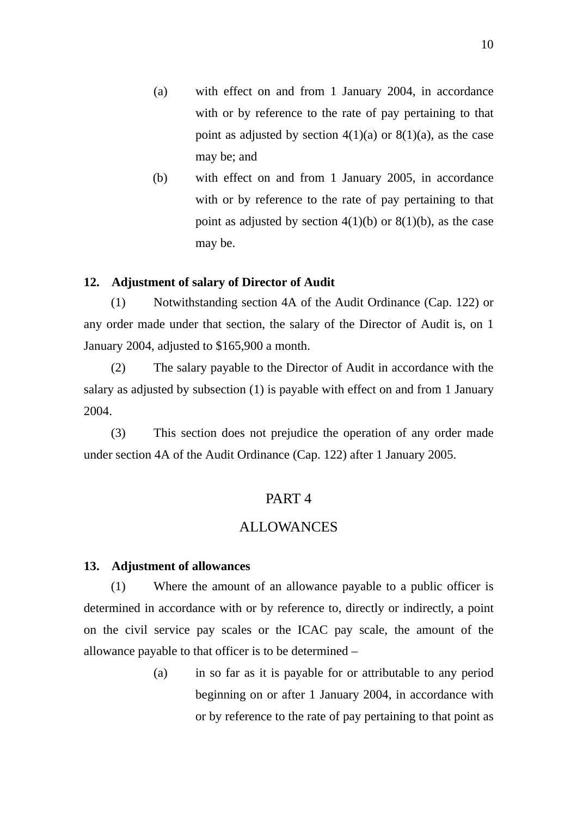- (a) with effect on and from 1 January 2004, in accordance with or by reference to the rate of pay pertaining to that point as adjusted by section  $4(1)(a)$  or  $8(1)(a)$ , as the case may be; and
- (b) with effect on and from 1 January 2005, in accordance with or by reference to the rate of pay pertaining to that point as adjusted by section  $4(1)(b)$  or  $8(1)(b)$ , as the case may be.

#### **12. Adjustment of salary of Director of Audit**

(1) Notwithstanding section 4A of the Audit Ordinance (Cap. 122) or any order made under that section, the salary of the Director of Audit is, on 1 January 2004, adjusted to \$165,900 a month.

(2) The salary payable to the Director of Audit in accordance with the salary as adjusted by subsection (1) is payable with effect on and from 1 January 2004.

(3) This section does not prejudice the operation of any order made under section 4A of the Audit Ordinance (Cap. 122) after 1 January 2005.

#### PART 4

#### ALLOWANCES

#### **13. Adjustment of allowances**

(1) Where the amount of an allowance payable to a public officer is determined in accordance with or by reference to, directly or indirectly, a point on the civil service pay scales or the ICAC pay scale, the amount of the allowance payable to that officer is to be determined –

> (a) in so far as it is payable for or attributable to any period beginning on or after 1 January 2004, in accordance with or by reference to the rate of pay pertaining to that point as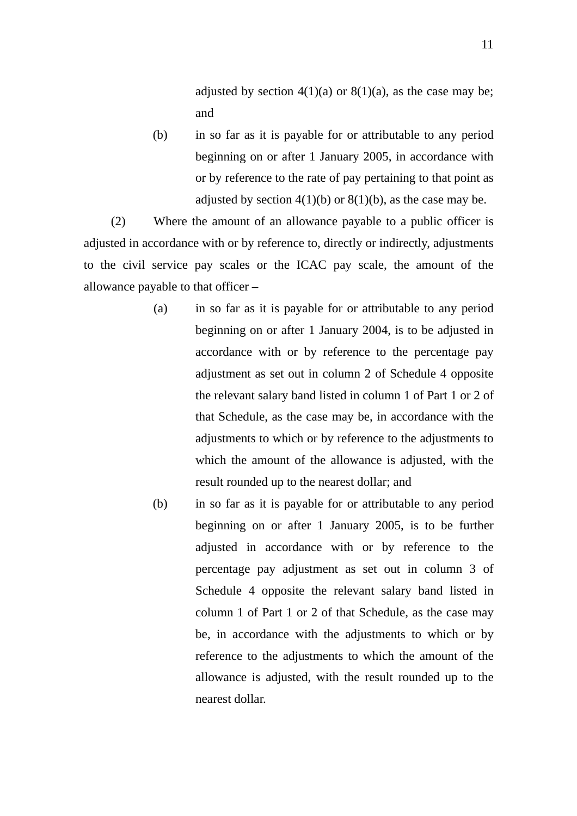adjusted by section  $4(1)(a)$  or  $8(1)(a)$ , as the case may be; and

(b) in so far as it is payable for or attributable to any period beginning on or after 1 January 2005, in accordance with or by reference to the rate of pay pertaining to that point as adjusted by section  $4(1)(b)$  or  $8(1)(b)$ , as the case may be.

(2) Where the amount of an allowance payable to a public officer is adjusted in accordance with or by reference to, directly or indirectly, adjustments to the civil service pay scales or the ICAC pay scale, the amount of the allowance payable to that officer –

- (a) in so far as it is payable for or attributable to any period beginning on or after 1 January 2004, is to be adjusted in accordance with or by reference to the percentage pay adjustment as set out in column 2 of Schedule 4 opposite the relevant salary band listed in column 1 of Part 1 or 2 of that Schedule, as the case may be, in accordance with the adjustments to which or by reference to the adjustments to which the amount of the allowance is adjusted, with the result rounded up to the nearest dollar; and
- (b) in so far as it is payable for or attributable to any period beginning on or after 1 January 2005, is to be further adjusted in accordance with or by reference to the percentage pay adjustment as set out in column 3 of Schedule 4 opposite the relevant salary band listed in column 1 of Part 1 or 2 of that Schedule, as the case may be, in accordance with the adjustments to which or by reference to the adjustments to which the amount of the allowance is adjusted, with the result rounded up to the nearest dollar.

11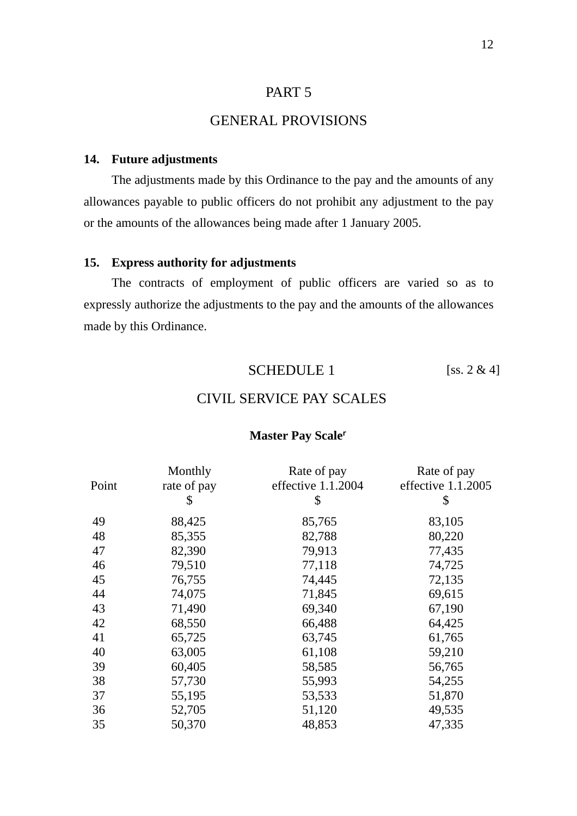### PART 5

### GENERAL PROVISIONS

#### **14. Future adjustments**

The adjustments made by this Ordinance to the pay and the amounts of any allowances payable to public officers do not prohibit any adjustment to the pay or the amounts of the allowances being made after 1 January 2005.

#### **15. Express authority for adjustments**

The contracts of employment of public officers are varied so as to expressly authorize the adjustments to the pay and the amounts of the allowances made by this Ordinance.

#### SCHEDULE 1 [ss.  $2 \& 4$ ]

### CIVIL SERVICE PAY SCALES

#### **Master Pay Scale**

| Monthly<br>rate of pay<br>\$ | Rate of pay<br>effective 1.1.2004<br>\$ | Rate of pay<br>effective 1.1.2005<br>\$ |
|------------------------------|-----------------------------------------|-----------------------------------------|
| 88,425                       | 85,765                                  | 83,105                                  |
| 85,355                       | 82,788                                  | 80,220                                  |
| 82,390                       | 79,913                                  | 77,435                                  |
| 79,510                       | 77,118                                  | 74,725                                  |
| 76,755                       | 74,445                                  | 72,135                                  |
| 74,075                       | 71,845                                  | 69,615                                  |
| 71,490                       | 69,340                                  | 67,190                                  |
| 68,550                       | 66,488                                  | 64,425                                  |
| 65,725                       | 63,745                                  | 61,765                                  |
| 63,005                       | 61,108                                  | 59,210                                  |
| 60,405                       | 58,585                                  | 56,765                                  |
| 57,730                       | 55,993                                  | 54,255                                  |
| 55,195                       | 53,533                                  | 51,870                                  |
| 52,705                       | 51,120                                  | 49,535                                  |
| 50,370                       | 48,853                                  | 47,335                                  |
|                              |                                         |                                         |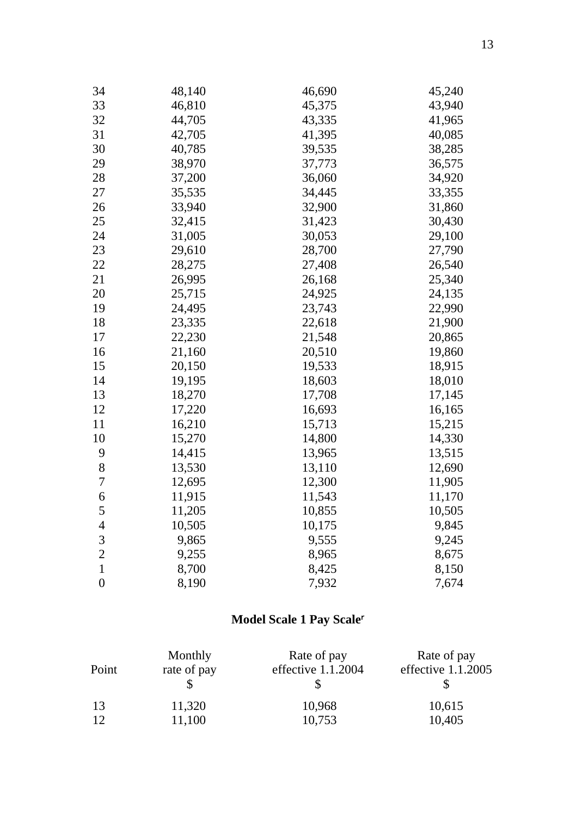| 34               | 48,140 | 46,690 | 45,240 |
|------------------|--------|--------|--------|
| 33               | 46,810 | 45,375 | 43,940 |
| 32               | 44,705 | 43,335 | 41,965 |
| 31               | 42,705 | 41,395 | 40,085 |
| 30               | 40,785 | 39,535 | 38,285 |
| 29               | 38,970 | 37,773 | 36,575 |
| 28               | 37,200 | 36,060 | 34,920 |
| 27               | 35,535 | 34,445 | 33,355 |
| 26               | 33,940 | 32,900 | 31,860 |
| 25               | 32,415 | 31,423 | 30,430 |
| 24               | 31,005 | 30,053 | 29,100 |
| 23               | 29,610 | 28,700 | 27,790 |
| 22               | 28,275 | 27,408 | 26,540 |
| 21               | 26,995 | 26,168 | 25,340 |
| 20               | 25,715 | 24,925 | 24,135 |
| 19               | 24,495 | 23,743 | 22,990 |
| 18               | 23,335 | 22,618 | 21,900 |
| 17               | 22,230 | 21,548 | 20,865 |
| 16               | 21,160 | 20,510 | 19,860 |
| 15               | 20,150 | 19,533 | 18,915 |
| 14               | 19,195 | 18,603 | 18,010 |
| 13               | 18,270 | 17,708 | 17,145 |
| 12               | 17,220 | 16,693 | 16,165 |
| 11               | 16,210 | 15,713 | 15,215 |
| 10               | 15,270 | 14,800 | 14,330 |
| 9                | 14,415 | 13,965 | 13,515 |
| 8                | 13,530 | 13,110 | 12,690 |
| 7                | 12,695 | 12,300 | 11,905 |
| 6                | 11,915 | 11,543 | 11,170 |
| 5                | 11,205 | 10,855 | 10,505 |
| $\overline{4}$   | 10,505 | 10,175 | 9,845  |
| 3                | 9,865  | 9,555  | 9,245  |
| $\overline{c}$   | 9,255  | 8,965  | 8,675  |
| $\mathbf{1}$     | 8,700  | 8,425  | 8,150  |
| $\boldsymbol{0}$ | 8,190  | 7,932  | 7,674  |

# **Model Scale 1 Pay Scale**

| Point | Monthly     | Rate of pay        | Rate of pay          |
|-------|-------------|--------------------|----------------------|
|       | rate of pay | effective 1.1.2004 | effective $1.1.2005$ |
| 13    | 11,320      | 10,968             | 10,615               |
| 12    | 11,100      | 10,753             | 10,405               |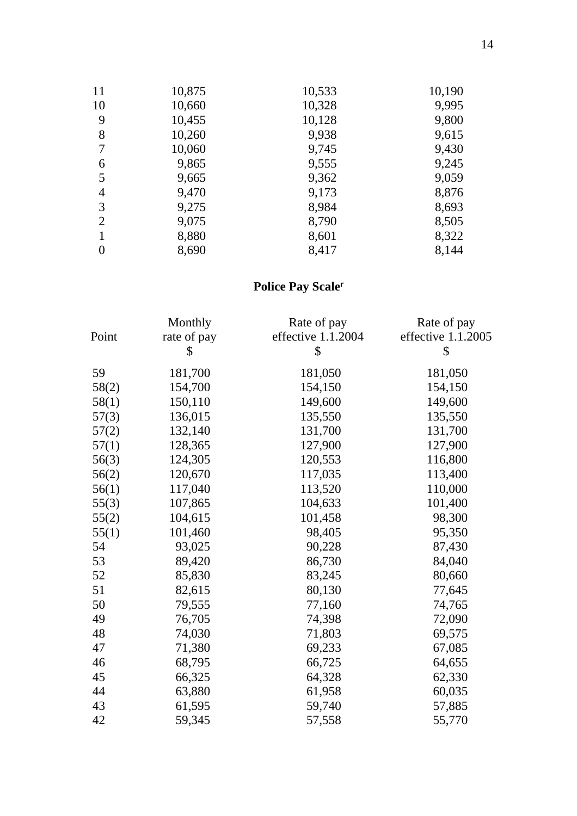| 11 | 10,875 | 10,533 | 10,190 |
|----|--------|--------|--------|
| 10 | 10,660 | 10,328 | 9,995  |
| 9  | 10,455 | 10,128 | 9,800  |
| 8  | 10,260 | 9,938  | 9,615  |
| 7  | 10,060 | 9,745  | 9,430  |
| 6  | 9,865  | 9,555  | 9,245  |
| 5  | 9,665  | 9,362  | 9,059  |
| 4  | 9,470  | 9,173  | 8,876  |
| 3  | 9,275  | 8,984  | 8,693  |
| 2  | 9,075  | 8,790  | 8,505  |
|    | 8,880  | 8,601  | 8,322  |
| 0  | 8,690  | 8,417  | 8,144  |

# **Police Pay Scale**

|       | Monthly     | Rate of pay        | Rate of pay        |
|-------|-------------|--------------------|--------------------|
| Point | rate of pay | effective 1.1.2004 | effective 1.1.2005 |
|       | \$          | \$                 | \$                 |
| 59    | 181,700     | 181,050            | 181,050            |
| 58(2) | 154,700     | 154,150            | 154,150            |
| 58(1) | 150,110     | 149,600            | 149,600            |
| 57(3) | 136,015     | 135,550            | 135,550            |
| 57(2) | 132,140     | 131,700            | 131,700            |
| 57(1) | 128,365     | 127,900            | 127,900            |
| 56(3) | 124,305     | 120,553            | 116,800            |
| 56(2) | 120,670     | 117,035            | 113,400            |
| 56(1) | 117,040     | 113,520            | 110,000            |
| 55(3) | 107,865     | 104,633            | 101,400            |
| 55(2) | 104,615     | 101,458            | 98,300             |
| 55(1) | 101,460     | 98,405             | 95,350             |
| 54    | 93,025      | 90,228             | 87,430             |
| 53    | 89,420      | 86,730             | 84,040             |
| 52    | 85,830      | 83,245             | 80,660             |
| 51    | 82,615      | 80,130             | 77,645             |
| 50    | 79,555      | 77,160             | 74,765             |
| 49    | 76,705      | 74,398             | 72,090             |
| 48    | 74,030      | 71,803             | 69,575             |
| 47    | 71,380      | 69,233             | 67,085             |
| 46    | 68,795      | 66,725             | 64,655             |
| 45    | 66,325      | 64,328             | 62,330             |
| 44    | 63,880      | 61,958             | 60,035             |
| 43    | 61,595      | 59,740             | 57,885             |
| 42    | 59,345      | 57,558             | 55,770             |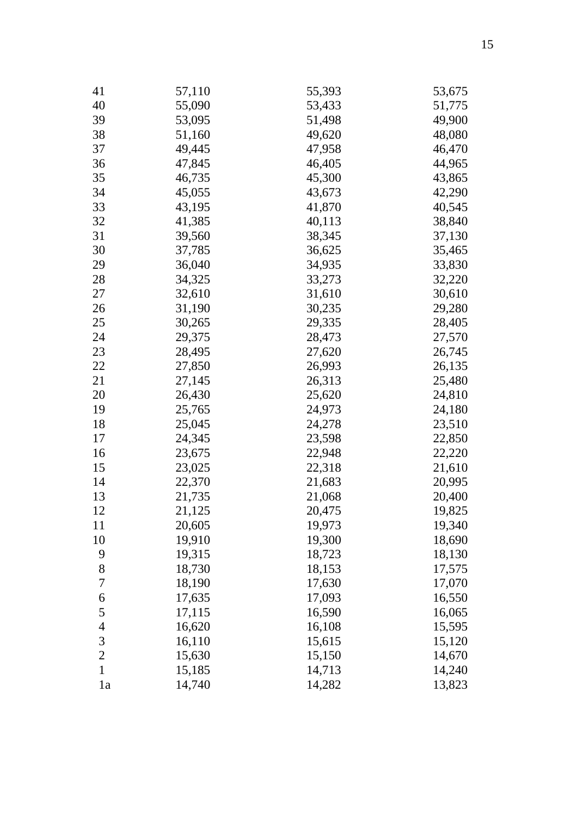| 41             | 57,110 | 55,393 | 53,675 |
|----------------|--------|--------|--------|
| 40             | 55,090 | 53,433 | 51,775 |
| 39             | 53,095 | 51,498 | 49,900 |
| 38             | 51,160 | 49,620 | 48,080 |
| 37             | 49,445 | 47,958 | 46,470 |
| 36             | 47,845 | 46,405 | 44,965 |
| 35             | 46,735 | 45,300 | 43,865 |
| 34             | 45,055 | 43,673 | 42,290 |
| 33             | 43,195 | 41,870 | 40,545 |
| 32             | 41,385 | 40,113 | 38,840 |
| 31             | 39,560 | 38,345 | 37,130 |
| 30             | 37,785 | 36,625 | 35,465 |
| 29             | 36,040 | 34,935 | 33,830 |
| 28             | 34,325 | 33,273 | 32,220 |
| 27             | 32,610 | 31,610 | 30,610 |
| 26             | 31,190 | 30,235 | 29,280 |
| 25             | 30,265 | 29,335 | 28,405 |
| 24             | 29,375 | 28,473 | 27,570 |
| 23             | 28,495 | 27,620 | 26,745 |
| 22             | 27,850 | 26,993 | 26,135 |
| 21             | 27,145 | 26,313 | 25,480 |
| 20             | 26,430 | 25,620 | 24,810 |
| 19             | 25,765 | 24,973 | 24,180 |
| 18             | 25,045 | 24,278 | 23,510 |
| 17             | 24,345 | 23,598 | 22,850 |
| 16             | 23,675 | 22,948 | 22,220 |
| 15             | 23,025 | 22,318 | 21,610 |
| 14             | 22,370 | 21,683 | 20,995 |
| 13             | 21,735 | 21,068 | 20,400 |
| 12             | 21,125 | 20,475 | 19,825 |
| 11             | 20,605 | 19,973 | 19,340 |
| 10             | 19,910 | 19,300 | 18,690 |
| 9              | 19,315 | 18,723 | 18,130 |
| 8              | 18,730 | 18,153 | 17,575 |
| 7              | 18,190 | 17,630 | 17,070 |
| 6              | 17,635 | 17,093 | 16,550 |
| 5              | 17,115 | 16,590 | 16,065 |
| $\overline{4}$ | 16,620 | 16,108 | 15,595 |
| 3              | 16,110 | 15,615 | 15,120 |
| $\overline{2}$ | 15,630 | 15,150 | 14,670 |
| $\mathbf{1}$   | 15,185 | 14,713 | 14,240 |
| 1a             | 14,740 | 14,282 | 13,823 |
|                |        |        |        |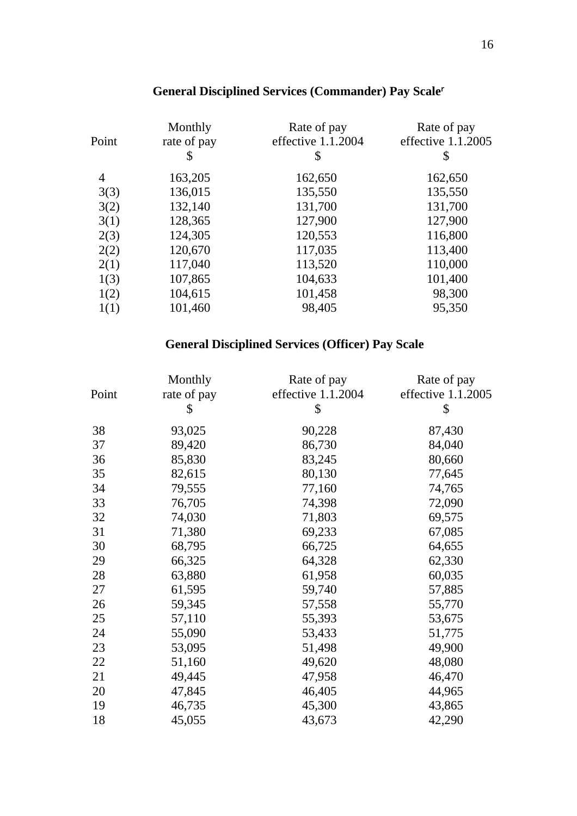#### Point Monthly rate of pay Rate of pay effective 1.1.2004 Rate of pay effective 1.1.2005  $\frac{1}{2}$  \$ \$ 4 163,205 162,650 162,650 3(3) 136,015 135,550 135,550 3(2) 132,140 131,700 131,700 3(1) 128,365 127,900 127,900 2(3) 124,305 120,553 116,800 2(2) 120,670 117,035 113,400 2(1) 117,040 113,520 110,000 1(3) 107,865 104,633 101,400<br>1(2) 104,615 101,458 98,300 1(2) 104,615 101,458 1(1) 101,460 98,405 95,350

#### **General Disciplined Services (Commander) Pay Scale**

#### **General Disciplined Services (Officer) Pay Scale**

| Point | Monthly<br>rate of pay<br>\$ | Rate of pay<br>effective 1.1.2004<br>\$ | Rate of pay<br>effective 1.1.2005<br>\$ |
|-------|------------------------------|-----------------------------------------|-----------------------------------------|
| 38    | 93,025                       | 90,228                                  | 87,430                                  |
| 37    | 89,420                       | 86,730                                  | 84,040                                  |
| 36    | 85,830                       | 83,245                                  | 80,660                                  |
| 35    | 82,615                       | 80,130                                  | 77,645                                  |
| 34    | 79,555                       | 77,160                                  | 74,765                                  |
| 33    | 76,705                       | 74,398                                  | 72,090                                  |
| 32    | 74,030                       | 71,803                                  | 69,575                                  |
| 31    | 71,380                       | 69,233                                  | 67,085                                  |
| 30    | 68,795                       | 66,725                                  | 64,655                                  |
| 29    | 66,325                       | 64,328                                  | 62,330                                  |
| 28    | 63,880                       | 61,958                                  | 60,035                                  |
| 27    | 61,595                       | 59,740                                  | 57,885                                  |
| 26    | 59,345                       | 57,558                                  | 55,770                                  |
| 25    | 57,110                       | 55,393                                  | 53,675                                  |
| 24    | 55,090                       | 53,433                                  | 51,775                                  |
| 23    | 53,095                       | 51,498                                  | 49,900                                  |
| 22    | 51,160                       | 49,620                                  | 48,080                                  |
| 21    | 49,445                       | 47,958                                  | 46,470                                  |
| 20    | 47,845                       | 46,405                                  | 44,965                                  |
| 19    | 46,735                       | 45,300                                  | 43,865                                  |
| 18    | 45,055                       | 43,673                                  | 42,290                                  |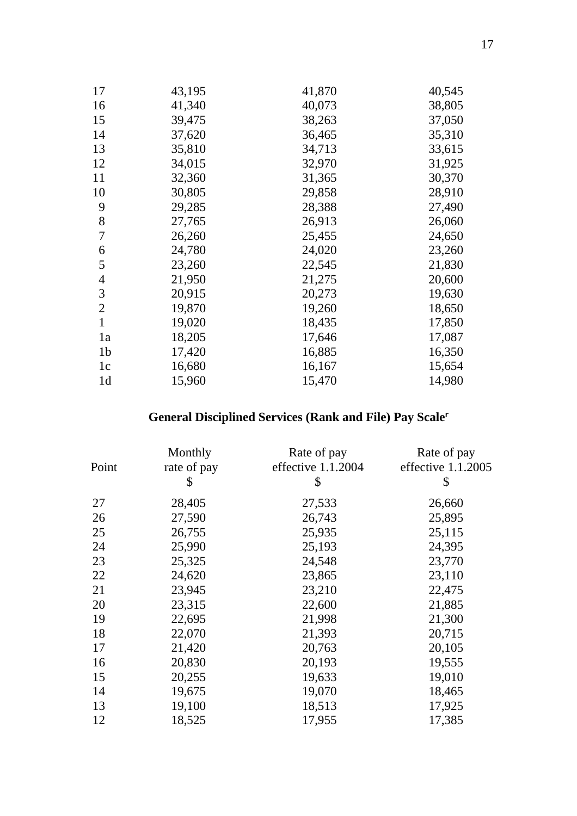| 17             | 43,195 | 41,870 | 40,545 |
|----------------|--------|--------|--------|
| 16             | 41,340 | 40,073 | 38,805 |
| 15             | 39,475 | 38,263 | 37,050 |
| 14             | 37,620 | 36,465 | 35,310 |
| 13             | 35,810 | 34,713 | 33,615 |
| 12             | 34,015 | 32,970 | 31,925 |
| 11             | 32,360 | 31,365 | 30,370 |
| 10             | 30,805 | 29,858 | 28,910 |
| 9              | 29,285 | 28,388 | 27,490 |
| 8              | 27,765 | 26,913 | 26,060 |
| 7              | 26,260 | 25,455 | 24,650 |
| 6              | 24,780 | 24,020 | 23,260 |
| 5              | 23,260 | 22,545 | 21,830 |
| 4              | 21,950 | 21,275 | 20,600 |
| 3              | 20,915 | 20,273 | 19,630 |
| $\overline{2}$ | 19,870 | 19,260 | 18,650 |
| 1              | 19,020 | 18,435 | 17,850 |
| 1a             | 18,205 | 17,646 | 17,087 |
| 1 <sub>b</sub> | 17,420 | 16,885 | 16,350 |
| 1c             | 16,680 | 16,167 | 15,654 |
| 1 <sub>d</sub> | 15,960 | 15,470 | 14,980 |

# **General Disciplined Services (Rank and File) Pay Scale**

|       | Monthly     | Rate of pay        | Rate of pay        |
|-------|-------------|--------------------|--------------------|
| Point | rate of pay | effective 1.1.2004 | effective 1.1.2005 |
|       | \$          | \$                 | \$                 |
| 27    | 28,405      | 27,533             | 26,660             |
| 26    | 27,590      | 26,743             | 25,895             |
| 25    | 26,755      | 25,935             | 25,115             |
| 24    | 25,990      | 25,193             | 24,395             |
| 23    | 25,325      | 24,548             | 23,770             |
| 22    | 24,620      | 23,865             | 23,110             |
| 21    | 23,945      | 23,210             | 22,475             |
| 20    | 23,315      | 22,600             | 21,885             |
| 19    | 22,695      | 21,998             | 21,300             |
| 18    | 22,070      | 21,393             | 20,715             |
| 17    | 21,420      | 20,763             | 20,105             |
| 16    | 20,830      | 20,193             | 19,555             |
| 15    | 20,255      | 19,633             | 19,010             |
| 14    | 19,675      | 19,070             | 18,465             |
| 13    | 19,100      | 18,513             | 17,925             |
| 12    | 18,525      | 17,955             | 17,385             |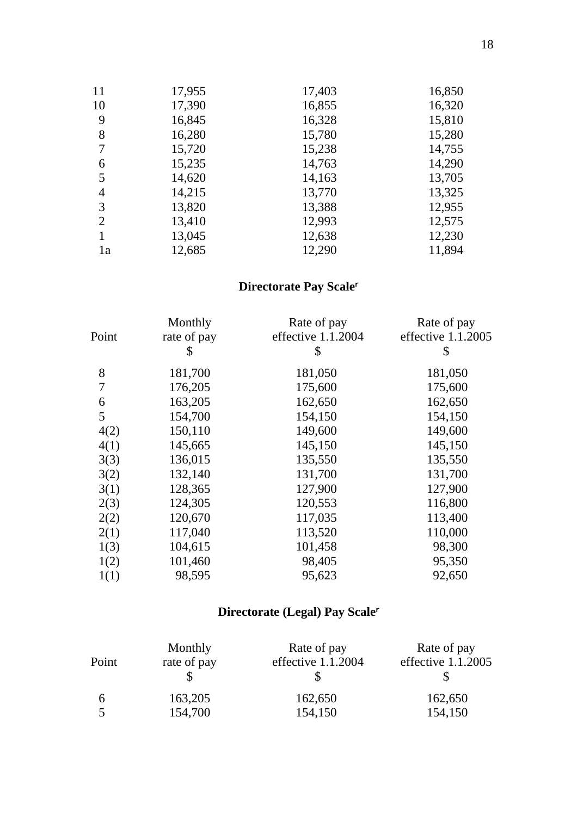| 11             | 17,955 | 17,403 | 16,850 |
|----------------|--------|--------|--------|
| 10             | 17,390 | 16,855 | 16,320 |
| 9              | 16,845 | 16,328 | 15,810 |
| 8              | 16,280 | 15,780 | 15,280 |
| 7              | 15,720 | 15,238 | 14,755 |
| 6              | 15,235 | 14,763 | 14,290 |
| 5              | 14,620 | 14,163 | 13,705 |
| 4              | 14,215 | 13,770 | 13,325 |
| 3              | 13,820 | 13,388 | 12,955 |
| $\overline{2}$ | 13,410 | 12,993 | 12,575 |
|                | 13,045 | 12,638 | 12,230 |
| 1a             | 12,685 | 12,290 | 11,894 |

# **Directorate Pay Scale**

| Point | Monthly<br>rate of pay<br>\$ | Rate of pay<br>effective 1.1.2004<br>\$ | Rate of pay<br>effective 1.1.2005<br>\$ |
|-------|------------------------------|-----------------------------------------|-----------------------------------------|
| 8     | 181,700                      | 181,050                                 | 181,050                                 |
| 7     | 176,205                      | 175,600                                 | 175,600                                 |
| 6     | 163,205                      | 162,650                                 | 162,650                                 |
| 5     | 154,700                      | 154,150                                 | 154,150                                 |
| 4(2)  | 150,110                      | 149,600                                 | 149,600                                 |
| 4(1)  | 145,665                      | 145,150                                 | 145,150                                 |
| 3(3)  | 136,015                      | 135,550                                 | 135,550                                 |
| 3(2)  | 132,140                      | 131,700                                 | 131,700                                 |
| 3(1)  | 128,365                      | 127,900                                 | 127,900                                 |
| 2(3)  | 124,305                      | 120,553                                 | 116,800                                 |
| 2(2)  | 120,670                      | 117,035                                 | 113,400                                 |
| 2(1)  | 117,040                      | 113,520                                 | 110,000                                 |
| 1(3)  | 104,615                      | 101,458                                 | 98,300                                  |
| 1(2)  | 101,460                      | 98,405                                  | 95,350                                  |
| 1(1)  | 98,595                       | 95,623                                  | 92,650                                  |

# **Directorate (Legal) Pay Scale**

| Point | Monthly     | Rate of pay          | Rate of pay        |
|-------|-------------|----------------------|--------------------|
|       | rate of pay | effective $1.1.2004$ | effective 1.1.2005 |
| b     | 163,205     | 162,650              | 162,650            |
|       | 154,700     | 154,150              | 154,150            |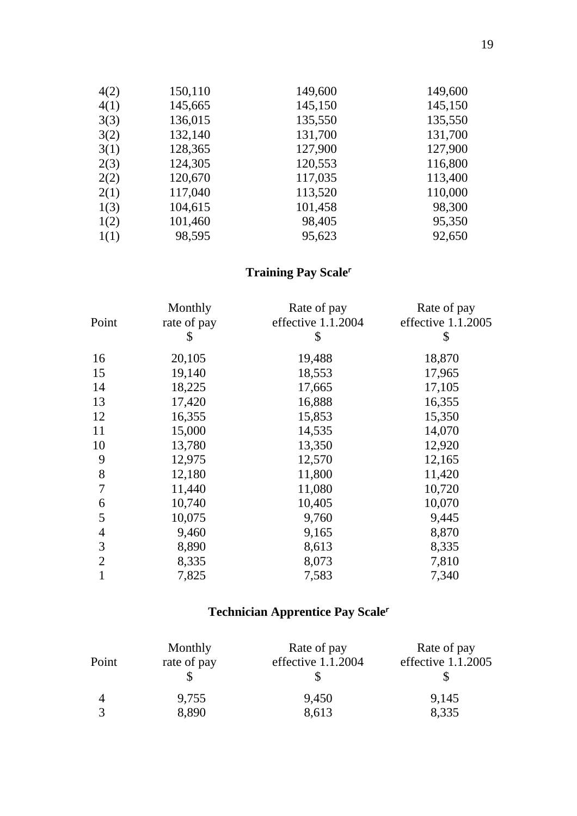| 4(2) | 150,110 | 149,600 | 149,600 |
|------|---------|---------|---------|
| 4(1) | 145,665 | 145,150 | 145,150 |
| 3(3) | 136,015 | 135,550 | 135,550 |
| 3(2) | 132,140 | 131,700 | 131,700 |
| 3(1) | 128,365 | 127,900 | 127,900 |
| 2(3) | 124,305 | 120,553 | 116,800 |
| 2(2) | 120,670 | 117,035 | 113,400 |
| 2(1) | 117,040 | 113,520 | 110,000 |
| 1(3) | 104,615 | 101,458 | 98,300  |
| 1(2) | 101,460 | 98,405  | 95,350  |
| 1(1) | 98,595  | 95,623  | 92,650  |

# **Training Pay Scale**

| Point          | Monthly<br>rate of pay | Rate of pay<br>effective 1.1.2004 | Rate of pay<br>effective 1.1.2005 |
|----------------|------------------------|-----------------------------------|-----------------------------------|
|                | \$                     | \$                                | \$                                |
| 16             | 20,105                 | 19,488                            | 18,870                            |
| 15             | 19,140                 | 18,553                            | 17,965                            |
| 14             | 18,225                 | 17,665                            | 17,105                            |
| 13             | 17,420                 | 16,888                            | 16,355                            |
| 12             | 16,355                 | 15,853                            | 15,350                            |
| 11             | 15,000                 | 14,535                            | 14,070                            |
| 10             | 13,780                 | 13,350                            | 12,920                            |
| 9              | 12,975                 | 12,570                            | 12,165                            |
| 8              | 12,180                 | 11,800                            | 11,420                            |
| 7              | 11,440                 | 11,080                            | 10,720                            |
| 6              | 10,740                 | 10,405                            | 10,070                            |
| 5              | 10,075                 | 9,760                             | 9,445                             |
| $\overline{4}$ | 9,460                  | 9,165                             | 8,870                             |
| 3              | 8,890                  | 8,613                             | 8,335                             |
| $\overline{2}$ | 8,335                  | 8,073                             | 7,810                             |
| 1              | 7,825                  | 7,583                             | 7,340                             |

# **Technician Apprentice Pay Scale**

| Point | Monthly<br>rate of pay | Rate of pay<br>effective 1.1.2004 | Rate of pay<br>effective $1.1.2005$ |
|-------|------------------------|-----------------------------------|-------------------------------------|
| 4     | 9,755                  | 9,450                             | 9,145                               |
|       | 8,890                  | 8,613                             | 8,335                               |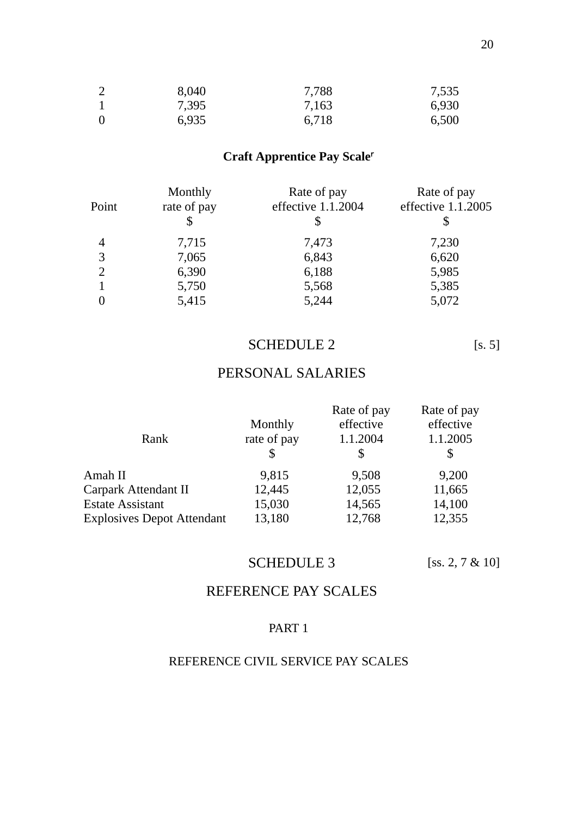| 2        | 8,040 | 7,788 | 7,535 |
|----------|-------|-------|-------|
|          | 7,395 | 7,163 | 6,930 |
| $\theta$ | 6,935 | 6,718 | 6,500 |

# **Craft Apprentice Pay Scale**

| Point          | Monthly<br>rate of pay | Rate of pay<br>effective 1.1.2004 | Rate of pay<br>effective 1.1.2005 |
|----------------|------------------------|-----------------------------------|-----------------------------------|
|                |                        |                                   |                                   |
| 4              | 7,715                  | 7,473                             | 7,230                             |
| 3              | 7,065                  | 6,843                             | 6,620                             |
| $\overline{2}$ | 6,390                  | 6,188                             | 5,985                             |
|                | 5,750                  | 5,568                             | 5,385                             |
|                | 5,415                  | 5,244                             | 5,072                             |

# SCHEDULE 2 [s. 5]

# PERSONAL SALARIES

|                                   |             | Rate of pay | Rate of pay |
|-----------------------------------|-------------|-------------|-------------|
|                                   | Monthly     | effective   | effective   |
| Rank                              | rate of pay | 1.1.2004    | 1.1.2005    |
|                                   |             | \$          |             |
| Amah II                           | 9,815       | 9,508       | 9,200       |
| Carpark Attendant II              | 12,445      | 12,055      | 11,665      |
| <b>Estate Assistant</b>           | 15,030      | 14,565      | 14,100      |
| <b>Explosives Depot Attendant</b> | 13,180      | 12,768      | 12,355      |
|                                   |             |             |             |

# SCHEDULE 3 [ss. 2, 7 & 10]

# REFERENCE PAY SCALES

### PART<sub>1</sub>

### REFERENCE CIVIL SERVICE PAY SCALES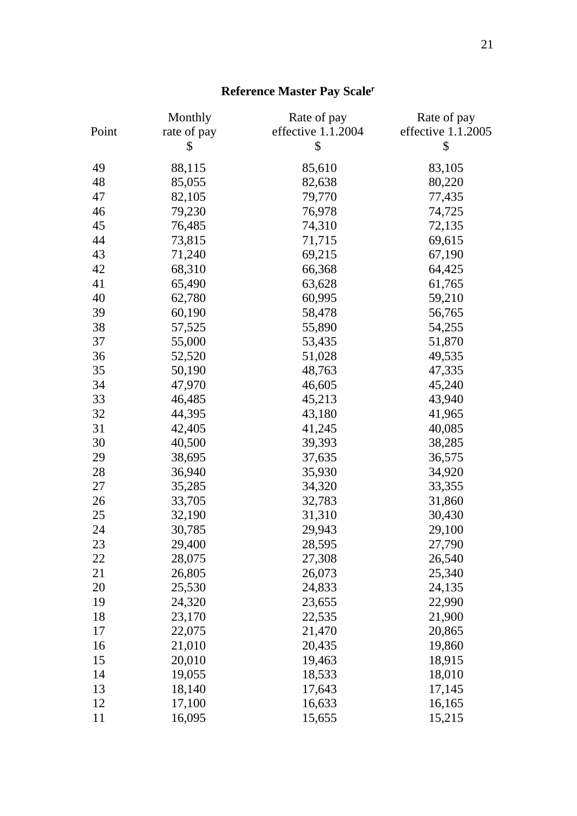# **Reference Master Pay Scale**

|       | Monthly     | Rate of pay        | Rate of pay        |
|-------|-------------|--------------------|--------------------|
| Point | rate of pay | effective 1.1.2004 | effective 1.1.2005 |
|       | \$          | \$                 | \$                 |
| 49    | 88,115      | 85,610             | 83,105             |
| 48    | 85,055      | 82,638             | 80,220             |
| 47    | 82,105      | 79,770             | 77,435             |
| 46    | 79,230      | 76,978             | 74,725             |
| 45    | 76,485      | 74,310             | 72,135             |
| 44    | 73,815      | 71,715             | 69,615             |
| 43    | 71,240      | 69,215             | 67,190             |
| 42    | 68,310      | 66,368             | 64,425             |
| 41    | 65,490      | 63,628             | 61,765             |
| 40    | 62,780      | 60,995             | 59,210             |
| 39    | 60,190      | 58,478             | 56,765             |
| 38    | 57,525      | 55,890             | 54,255             |
| 37    | 55,000      | 53,435             | 51,870             |
| 36    | 52,520      | 51,028             | 49,535             |
| 35    | 50,190      | 48,763             | 47,335             |
| 34    | 47,970      | 46,605             | 45,240             |
| 33    | 46,485      | 45,213             | 43,940             |
| 32    | 44,395      | 43,180             | 41,965             |
| 31    | 42,405      | 41,245             | 40,085             |
| 30    | 40,500      | 39,393             | 38,285             |
| 29    | 38,695      | 37,635             | 36,575             |
| 28    | 36,940      | 35,930             | 34,920             |
| 27    | 35,285      | 34,320             | 33,355             |
| 26    | 33,705      | 32,783             | 31,860             |
| 25    | 32,190      | 31,310             | 30,430             |
| 24    | 30,785      | 29,943             | 29,100             |
| 23    | 29,400      | 28,595             | 27,790             |
| 22    | 28,075      | 27,308             | 26,540             |
| 21    | 26,805      | 26,073             | 25,340             |
| 20    | 25,530      | 24,833             | 24,135             |
| 19    | 24,320      | 23,655             | 22,990             |
| 18    | 23,170      | 22,535             | 21,900             |
| 17    | 22,075      | 21,470             | 20,865             |
| 16    | 21,010      | 20,435             | 19,860             |
| 15    | 20,010      | 19,463             | 18,915             |
| 14    | 19,055      | 18,533             | 18,010             |
| 13    | 18,140      | 17,643             | 17,145             |
| 12    | 17,100      | 16,633             | 16,165             |
| 11    | 16,095      | 15,655             | 15,215             |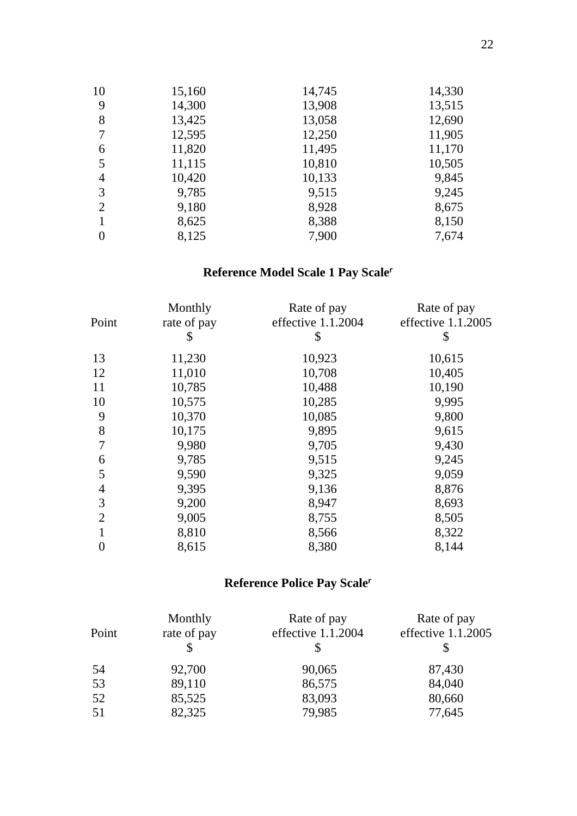| 10             | 15,160 | 14,745 | 14,330 |
|----------------|--------|--------|--------|
| 9              | 14,300 | 13,908 | 13,515 |
| 8              | 13,425 | 13,058 | 12,690 |
| 7              | 12,595 | 12,250 | 11,905 |
| 6              | 11,820 | 11,495 | 11,170 |
| 5              | 11,115 | 10,810 | 10,505 |
| 4              | 10,420 | 10,133 | 9,845  |
| 3              | 9,785  | 9,515  | 9,245  |
| $\overline{2}$ | 9,180  | 8,928  | 8,675  |
|                | 8,625  | 8,388  | 8,150  |
| 0              | 8,125  | 7,900  | 7,674  |

# **Reference Model Scale 1 Pay Scale**

| Point          | Monthly<br>rate of pay<br>\$ | Rate of pay<br>effective 1.1.2004<br>\$ | Rate of pay<br>effective 1.1.2005<br>\$ |
|----------------|------------------------------|-----------------------------------------|-----------------------------------------|
| 13             | 11,230                       | 10,923                                  | 10,615                                  |
| 12             | 11,010                       | 10,708                                  | 10,405                                  |
| 11             | 10,785                       | 10,488                                  | 10,190                                  |
| 10             | 10,575                       | 10,285                                  | 9,995                                   |
| 9              | 10,370                       | 10,085                                  | 9,800                                   |
| 8              | 10,175                       | 9,895                                   | 9,615                                   |
| 7              | 9,980                        | 9,705                                   | 9,430                                   |
| 6              | 9,785                        | 9,515                                   | 9,245                                   |
| 5              | 9,590                        | 9,325                                   | 9,059                                   |
| $\overline{4}$ | 9,395                        | 9,136                                   | 8,876                                   |
| 3              | 9,200                        | 8,947                                   | 8,693                                   |
| $\overline{2}$ | 9,005                        | 8,755                                   | 8,505                                   |
|                | 8,810                        | 8,566                                   | 8,322                                   |
| 0              | 8,615                        | 8,380                                   | 8,144                                   |

# **Reference Police Pay Scale**

| Point | Monthly<br>rate of pay | Rate of pay<br>effective 1.1.2004 | Rate of pay<br>effective 1.1.2005 |
|-------|------------------------|-----------------------------------|-----------------------------------|
| 54    | 92,700                 | 90,065                            | 87,430                            |
| 53    | 89,110                 | 86,575                            | 84,040                            |
| 52    | 85,525                 | 83,093                            | 80,660                            |
| 51    | 82,325                 | 79,985                            | 77,645                            |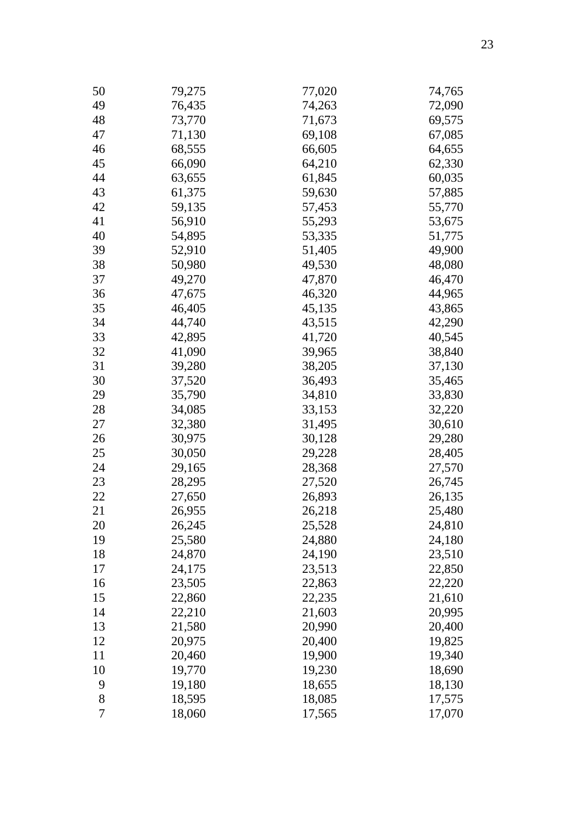| 50 | 79,275 | 77,020 | 74,765 |
|----|--------|--------|--------|
| 49 | 76,435 | 74,263 | 72,090 |
| 48 | 73,770 | 71,673 | 69,575 |
| 47 | 71,130 | 69,108 | 67,085 |
| 46 | 68,555 | 66,605 | 64,655 |
| 45 | 66,090 | 64,210 | 62,330 |
| 44 | 63,655 | 61,845 | 60,035 |
| 43 | 61,375 | 59,630 | 57,885 |
| 42 | 59,135 | 57,453 | 55,770 |
| 41 | 56,910 | 55,293 | 53,675 |
| 40 | 54,895 | 53,335 | 51,775 |
| 39 | 52,910 | 51,405 | 49,900 |
| 38 | 50,980 | 49,530 | 48,080 |
| 37 | 49,270 | 47,870 | 46,470 |
| 36 | 47,675 | 46,320 | 44,965 |
| 35 | 46,405 | 45,135 | 43,865 |
| 34 | 44,740 | 43,515 | 42,290 |
| 33 | 42,895 | 41,720 | 40,545 |
| 32 | 41,090 | 39,965 | 38,840 |
| 31 | 39,280 | 38,205 | 37,130 |
| 30 | 37,520 | 36,493 | 35,465 |
| 29 | 35,790 | 34,810 | 33,830 |
| 28 | 34,085 | 33,153 | 32,220 |
| 27 | 32,380 | 31,495 | 30,610 |
| 26 | 30,975 | 30,128 | 29,280 |
| 25 | 30,050 | 29,228 | 28,405 |
| 24 | 29,165 | 28,368 | 27,570 |
| 23 | 28,295 | 27,520 | 26,745 |
| 22 | 27,650 | 26,893 | 26,135 |
| 21 | 26,955 | 26,218 | 25,480 |
| 20 | 26,245 | 25,528 | 24,810 |
| 19 | 25,580 | 24,880 | 24,180 |
| 18 | 24,870 | 24,190 | 23,510 |
| 17 | 24,175 | 23,513 | 22,850 |
| 16 | 23,505 | 22,863 | 22,220 |
| 15 | 22,860 | 22,235 | 21,610 |
| 14 | 22,210 | 21,603 | 20,995 |
| 13 | 21,580 | 20,990 | 20,400 |
| 12 | 20,975 | 20,400 | 19,825 |
| 11 | 20,460 | 19,900 | 19,340 |
| 10 | 19,770 | 19,230 | 18,690 |
| 9  | 19,180 | 18,655 | 18,130 |
| 8  | 18,595 | 18,085 | 17,575 |
| 7  | 18,060 | 17,565 | 17,070 |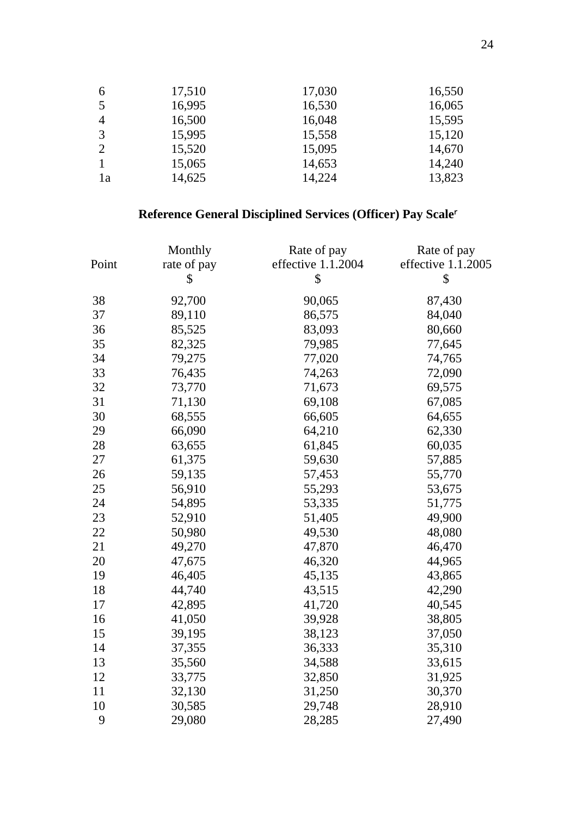| 6              | 17,510 | 17,030 | 16,550 |
|----------------|--------|--------|--------|
| 5              | 16,995 | 16,530 | 16,065 |
| 4              | 16,500 | 16,048 | 15,595 |
| 3              | 15,995 | 15,558 | 15,120 |
| $\overline{2}$ | 15,520 | 15,095 | 14,670 |
|                | 15,065 | 14,653 | 14,240 |
| l a            | 14,625 | 14,224 | 13,823 |
|                |        |        |        |

# Reference General Disciplined Services (Officer) Pay Scale

|       | Monthly     | Rate of pay        | Rate of pay        |
|-------|-------------|--------------------|--------------------|
| Point | rate of pay | effective 1.1.2004 | effective 1.1.2005 |
|       | \$          | \$                 | \$                 |
| 38    | 92,700      | 90,065             | 87,430             |
| 37    | 89,110      | 86,575             | 84,040             |
| 36    | 85,525      | 83,093             | 80,660             |
| 35    | 82,325      | 79,985             | 77,645             |
| 34    | 79,275      | 77,020             | 74,765             |
| 33    | 76,435      | 74,263             | 72,090             |
| 32    | 73,770      | 71,673             | 69,575             |
| 31    | 71,130      | 69,108             | 67,085             |
| 30    | 68,555      | 66,605             | 64,655             |
| 29    | 66,090      | 64,210             | 62,330             |
| 28    | 63,655      | 61,845             | 60,035             |
| 27    | 61,375      | 59,630             | 57,885             |
| 26    | 59,135      | 57,453             | 55,770             |
| 25    | 56,910      | 55,293             | 53,675             |
| 24    | 54,895      | 53,335             | 51,775             |
| 23    | 52,910      | 51,405             | 49,900             |
| 22    | 50,980      | 49,530             | 48,080             |
| 21    | 49,270      | 47,870             | 46,470             |
| 20    | 47,675      | 46,320             | 44,965             |
| 19    | 46,405      | 45,135             | 43,865             |
| 18    | 44,740      | 43,515             | 42,290             |
| 17    | 42,895      | 41,720             | 40,545             |
| 16    | 41,050      | 39,928             | 38,805             |
| 15    | 39,195      | 38,123             | 37,050             |
| 14    | 37,355      | 36,333             | 35,310             |
| 13    | 35,560      | 34,588             | 33,615             |
| 12    | 33,775      | 32,850             | 31,925             |
| 11    | 32,130      | 31,250             | 30,370             |
| 10    | 30,585      | 29,748             | 28,910             |
| 9     | 29,080      | 28,285             | 27,490             |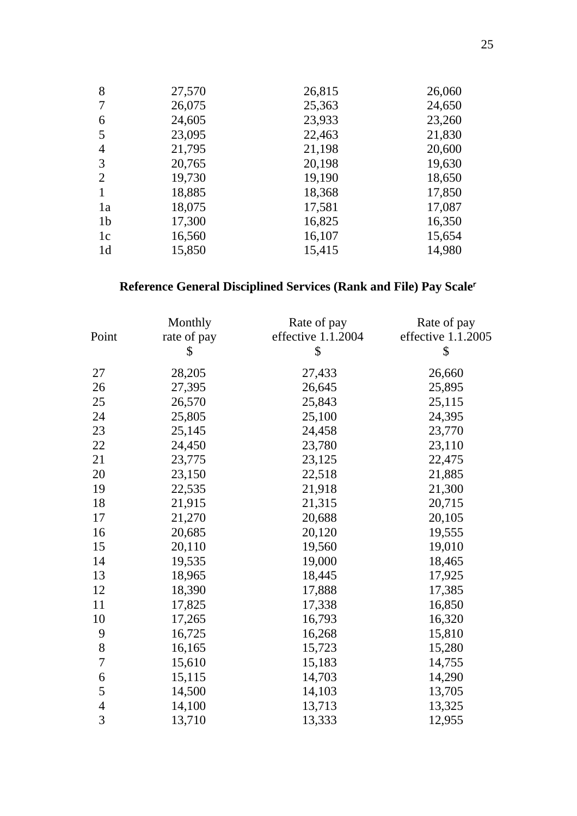| 8              | 27,570 | 26,815 | 26,060 |
|----------------|--------|--------|--------|
| 7              | 26,075 | 25,363 | 24,650 |
| 6              | 24,605 | 23,933 | 23,260 |
| 5              | 23,095 | 22,463 | 21,830 |
| 4              | 21,795 | 21,198 | 20,600 |
| 3              | 20,765 | 20,198 | 19,630 |
| $\overline{2}$ | 19,730 | 19,190 | 18,650 |
|                | 18,885 | 18,368 | 17,850 |
| 1a             | 18,075 | 17,581 | 17,087 |
| 1 <sub>b</sub> | 17,300 | 16,825 | 16,350 |
| 1c             | 16,560 | 16,107 | 15,654 |
| 1d             | 15,850 | 15,415 | 14,980 |

# Reference General Disciplined Services (Rank and File) Pay Scale

|                | Monthly     | Rate of pay        | Rate of pay        |
|----------------|-------------|--------------------|--------------------|
| Point          | rate of pay | effective 1.1.2004 | effective 1.1.2005 |
|                | \$          | \$                 | \$                 |
| 27             | 28,205      | 27,433             | 26,660             |
| 26             | 27,395      | 26,645             | 25,895             |
| 25             | 26,570      | 25,843             | 25,115             |
| 24             | 25,805      | 25,100             | 24,395             |
| 23             | 25,145      | 24,458             | 23,770             |
| 22             | 24,450      | 23,780             | 23,110             |
| 21             | 23,775      | 23,125             | 22,475             |
| 20             | 23,150      | 22,518             | 21,885             |
| 19             | 22,535      | 21,918             | 21,300             |
| 18             | 21,915      | 21,315             | 20,715             |
| 17             | 21,270      | 20,688             | 20,105             |
| 16             | 20,685      | 20,120             | 19,555             |
| 15             | 20,110      | 19,560             | 19,010             |
| 14             | 19,535      | 19,000             | 18,465             |
| 13             | 18,965      | 18,445             | 17,925             |
| 12             | 18,390      | 17,888             | 17,385             |
| 11             | 17,825      | 17,338             | 16,850             |
| 10             | 17,265      | 16,793             | 16,320             |
| 9              | 16,725      | 16,268             | 15,810             |
| $\,8\,$        | 16,165      | 15,723             | 15,280             |
| 7              | 15,610      | 15,183             | 14,755             |
| 6              | 15,115      | 14,703             | 14,290             |
| 5              | 14,500      | 14,103             | 13,705             |
| $\overline{4}$ | 14,100      | 13,713             | 13,325             |
| 3              | 13,710      | 13,333             | 12,955             |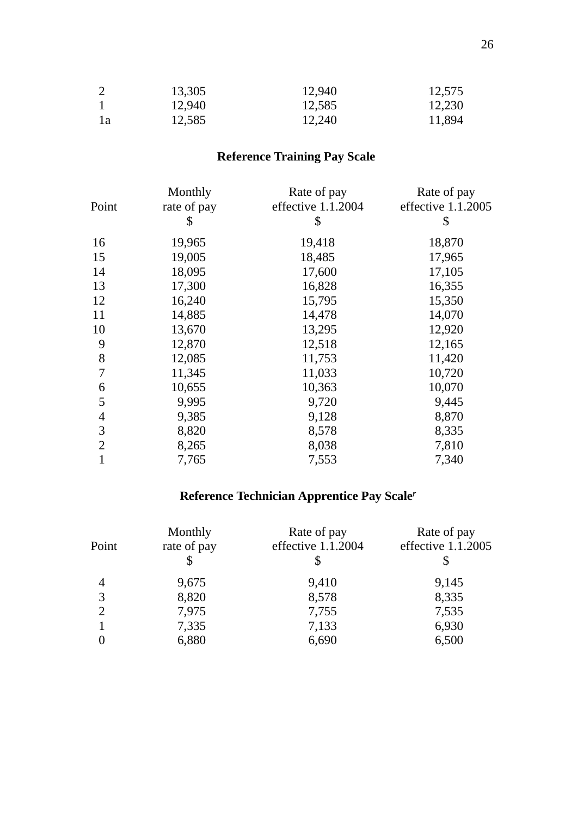|     | 13,305 | 12,940 | 12,575 |
|-----|--------|--------|--------|
|     | 12,940 | 12,585 | 12,230 |
| l a | 12,585 | 12,240 | 11,894 |

# **Reference Training Pay Scale**

| Monthly     | Rate of pay        | Rate of pay        |
|-------------|--------------------|--------------------|
| rate of pay | effective 1.1.2004 | effective 1.1.2005 |
| \$          | \$                 | \$                 |
| 19,965      | 19,418             | 18,870             |
| 19,005      | 18,485             | 17,965             |
| 18,095      | 17,600             | 17,105             |
| 17,300      | 16,828             | 16,355             |
| 16,240      | 15,795             | 15,350             |
| 14,885      | 14,478             | 14,070             |
| 13,670      | 13,295             | 12,920             |
| 12,870      | 12,518             | 12,165             |
| 12,085      | 11,753             | 11,420             |
| 11,345      | 11,033             | 10,720             |
| 10,655      | 10,363             | 10,070             |
| 9,995       | 9,720              | 9,445              |
| 9,385       | 9,128              | 8,870              |
| 8,820       | 8,578              | 8,335              |
| 8,265       | 8,038              | 7,810              |
| 7,765       | 7,553              | 7,340              |
|             |                    |                    |

# **Reference Technician Apprentice Pay Scale**

| Point          | Monthly<br>rate of pay | Rate of pay<br>effective 1.1.2004 | Rate of pay<br>effective 1.1.2005 |
|----------------|------------------------|-----------------------------------|-----------------------------------|
| $\overline{4}$ | 9,675                  | 9,410                             | 9,145                             |
| 3              | 8,820                  | 8,578                             | 8,335                             |
| $\overline{2}$ | 7,975                  | 7,755                             | 7,535                             |
|                | 7,335                  | 7,133                             | 6,930                             |
|                | 6,880                  | 6,690                             | 6,500                             |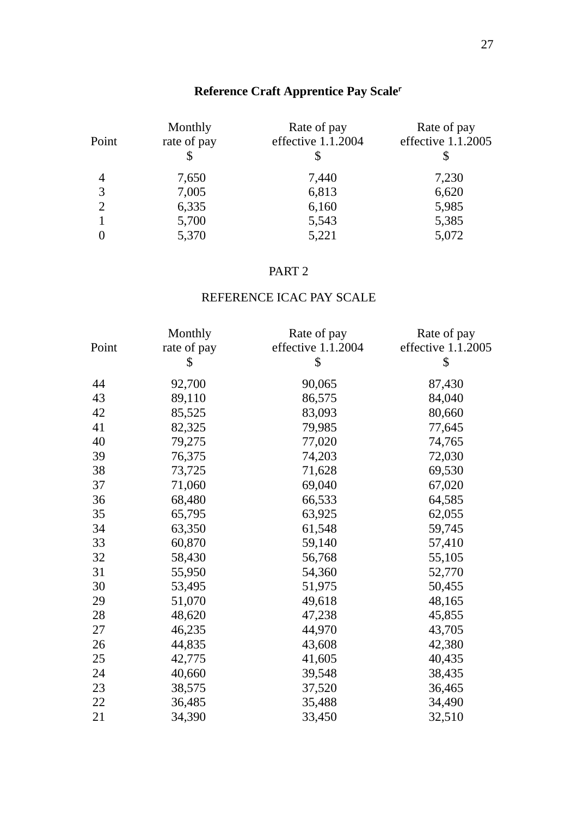# **Reference Craft Apprentice Pay Scale**

| Point          | Monthly<br>rate of pay | Rate of pay<br>effective 1.1.2004 | Rate of pay<br>effective 1.1.2005 |
|----------------|------------------------|-----------------------------------|-----------------------------------|
| $\overline{4}$ | 7,650                  | 7,440                             | 7,230                             |
| 3              | 7,005                  | 6,813                             | 6,620                             |
| 2              | 6,335                  | 6,160                             | 5,985                             |
|                | 5,700                  | 5,543                             | 5,385                             |
|                | 5,370                  | 5,221                             | 5,072                             |

## PART 2

# REFERENCE ICAC PAY SCALE

|       | Monthly     | Rate of pay        | Rate of pay        |
|-------|-------------|--------------------|--------------------|
| Point | rate of pay | effective 1.1.2004 | effective 1.1.2005 |
|       | S           | \$                 | \$                 |
| 44    | 92,700      | 90,065             | 87,430             |
| 43    | 89,110      | 86,575             | 84,040             |
| 42    | 85,525      | 83,093             | 80,660             |
| 41    | 82,325      | 79,985             | 77,645             |
| 40    | 79,275      | 77,020             | 74,765             |
| 39    | 76,375      | 74,203             | 72,030             |
| 38    | 73,725      | 71,628             | 69,530             |
| 37    | 71,060      | 69,040             | 67,020             |
| 36    | 68,480      | 66,533             | 64,585             |
| 35    | 65,795      | 63,925             | 62,055             |
| 34    | 63,350      | 61,548             | 59,745             |
| 33    | 60,870      | 59,140             | 57,410             |
| 32    | 58,430      | 56,768             | 55,105             |
| 31    | 55,950      | 54,360             | 52,770             |
| 30    | 53,495      | 51,975             | 50,455             |
| 29    | 51,070      | 49,618             | 48,165             |
| 28    | 48,620      | 47,238             | 45,855             |
| 27    | 46,235      | 44,970             | 43,705             |
| 26    | 44,835      | 43,608             | 42,380             |
| 25    | 42,775      | 41,605             | 40,435             |
| 24    | 40,660      | 39,548             | 38,435             |
| 23    | 38,575      | 37,520             | 36,465             |
| 22    | 36,485      | 35,488             | 34,490             |
| 21    | 34,390      | 33,450             | 32,510             |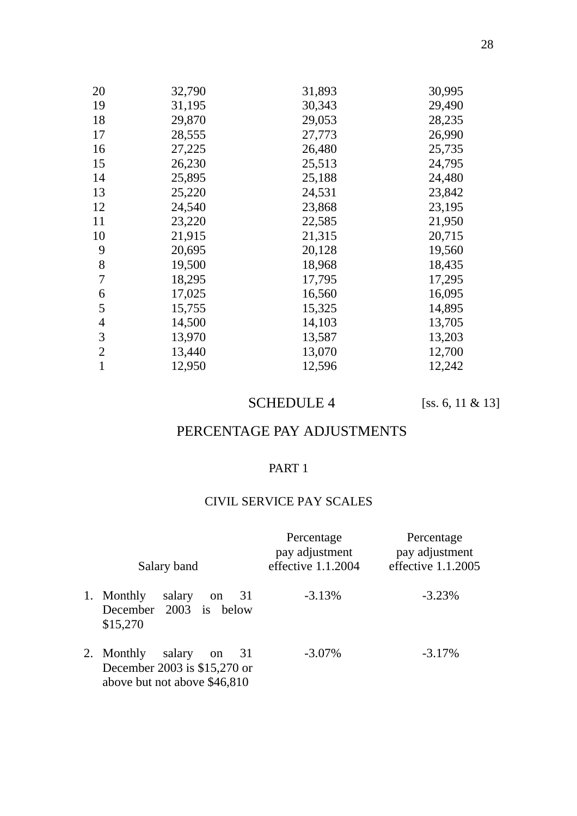| 20             | 32,790 | 31,893 | 30,995 |
|----------------|--------|--------|--------|
| 19             | 31,195 | 30,343 | 29,490 |
| 18             | 29,870 | 29,053 | 28,235 |
| 17             | 28,555 | 27,773 | 26,990 |
| 16             | 27,225 | 26,480 | 25,735 |
| 15             | 26,230 | 25,513 | 24,795 |
| 14             | 25,895 | 25,188 | 24,480 |
| 13             | 25,220 | 24,531 | 23,842 |
| 12             | 24,540 | 23,868 | 23,195 |
| 11             | 23,220 | 22,585 | 21,950 |
| 10             | 21,915 | 21,315 | 20,715 |
| 9              | 20,695 | 20,128 | 19,560 |
| 8              | 19,500 | 18,968 | 18,435 |
| 7              | 18,295 | 17,795 | 17,295 |
| 6              | 17,025 | 16,560 | 16,095 |
| 5              | 15,755 | 15,325 | 14,895 |
| $\overline{4}$ | 14,500 | 14,103 | 13,705 |
| 3              | 13,970 | 13,587 | 13,203 |
| $\overline{2}$ | 13,440 | 13,070 | 12,700 |
| 1              | 12,950 | 12,596 | 12,242 |

# SCHEDULE 4 [ss. 6, 11 & 13]

# PERCENTAGE PAY ADJUSTMENTS

## PART 1

### CIVIL SERVICE PAY SCALES

| Salary band                                                                                                 | Percentage<br>pay adjustment<br>effective 1.1.2004 | Percentage<br>pay adjustment<br>effective $1.1.2005$ |
|-------------------------------------------------------------------------------------------------------------|----------------------------------------------------|------------------------------------------------------|
| 1. Monthly<br>salary<br>31<br><sub>on</sub><br>December 2003 is below<br>\$15,270                           | $-3.13%$                                           | $-3.23%$                                             |
| 2. Monthly<br>salary<br>31<br><sub>on</sub><br>December 2003 is \$15,270 or<br>above but not above \$46,810 | $-3.07\%$                                          | $-3.17%$                                             |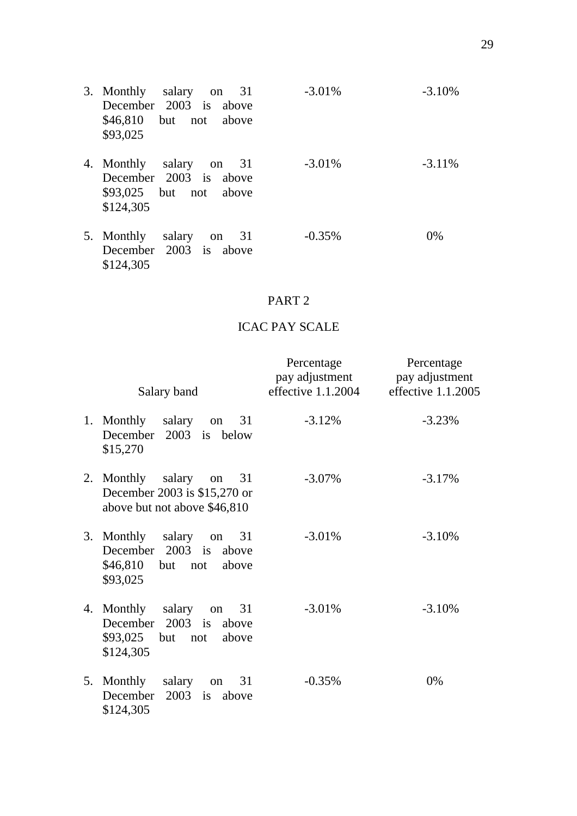- 3. Monthly salary on 31 December 2003 is above \$46,810 but not above \$93,025 -3.01% -3.10% 4. Monthly salary on 31 December 2003 is above \$93,025 but not above \$124,305 -3.01% -3.11%
- 5. Monthly salary on 31 December 2003 is above \$124,305 -0.35% 0%

### PART 2

# ICAC PAY SCALE

| Salary band                                                                                       | Percentage<br>pay adjustment<br>effective $1.1.2004$ | Percentage<br>pay adjustment<br>effective 1.1.2005 |
|---------------------------------------------------------------------------------------------------|------------------------------------------------------|----------------------------------------------------|
| 1. Monthly<br>salary on<br>31<br>December 2003 is below<br>\$15,270                               | $-3.12%$                                             | $-3.23%$                                           |
| 2. Monthly<br>salary on<br>31<br>December 2003 is \$15,270 or<br>above but not above \$46,810     | $-3.07\%$                                            | $-3.17%$                                           |
| 3. Monthly salary on<br>31<br>December 2003 is<br>above<br>$$46,810$ but not<br>above<br>\$93,025 | $-3.01%$                                             | $-3.10%$                                           |
| 4. Monthly salary on<br>31<br>December 2003 is<br>above<br>\$93,025 but not<br>above<br>\$124,305 | $-3.01%$                                             | $-3.10%$                                           |
| 5. Monthly<br>salary on<br>31<br>$2003$ is<br>December<br>above<br>\$124,305                      | $-0.35%$                                             | 0%                                                 |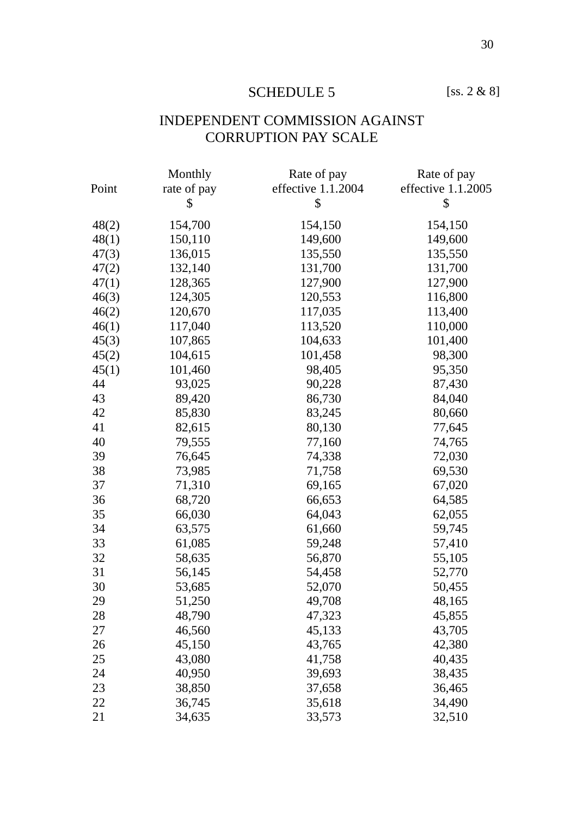# SCHEDULE 5 [ss. 2 & 8]

# INDEPENDENT COMMISSION AGAINST CORRUPTION PAY SCALE

|       | Monthly     | Rate of pay        | Rate of pay        |
|-------|-------------|--------------------|--------------------|
| Point | rate of pay | effective 1.1.2004 | effective 1.1.2005 |
|       | \$          | \$                 | \$                 |
| 48(2) | 154,700     | 154,150            | 154,150            |
| 48(1) | 150,110     | 149,600            | 149,600            |
| 47(3) | 136,015     | 135,550            | 135,550            |
| 47(2) | 132,140     | 131,700            | 131,700            |
| 47(1) | 128,365     | 127,900            | 127,900            |
| 46(3) | 124,305     | 120,553            | 116,800            |
| 46(2) | 120,670     | 117,035            | 113,400            |
| 46(1) | 117,040     | 113,520            | 110,000            |
| 45(3) | 107,865     | 104,633            | 101,400            |
| 45(2) | 104,615     | 101,458            | 98,300             |
| 45(1) | 101,460     | 98,405             | 95,350             |
| 44    | 93,025      | 90,228             | 87,430             |
| 43    | 89,420      | 86,730             | 84,040             |
| 42    | 85,830      | 83,245             | 80,660             |
| 41    | 82,615      | 80,130             | 77,645             |
| 40    | 79,555      | 77,160             | 74,765             |
| 39    | 76,645      | 74,338             | 72,030             |
| 38    | 73,985      | 71,758             | 69,530             |
| 37    | 71,310      | 69,165             | 67,020             |
| 36    | 68,720      | 66,653             | 64,585             |
| 35    | 66,030      | 64,043             | 62,055             |
| 34    | 63,575      | 61,660             | 59,745             |
| 33    | 61,085      | 59,248             | 57,410             |
| 32    | 58,635      | 56,870             | 55,105             |
| 31    | 56,145      | 54,458             | 52,770             |
| 30    | 53,685      | 52,070             | 50,455             |
| 29    | 51,250      | 49,708             | 48,165             |
| 28    | 48,790      | 47,323             | 45,855             |
| 27    | 46,560      | 45,133             | 43,705             |
| 26    | 45,150      | 43,765             | 42,380             |
| 25    | 43,080      | 41,758             | 40,435             |
| 24    | 40,950      | 39,693             | 38,435             |
| 23    | 38,850      | 37,658             | 36,465             |
| 22    | 36,745      | 35,618             | 34,490             |
| 21    | 34,635      | 33,573             | 32,510             |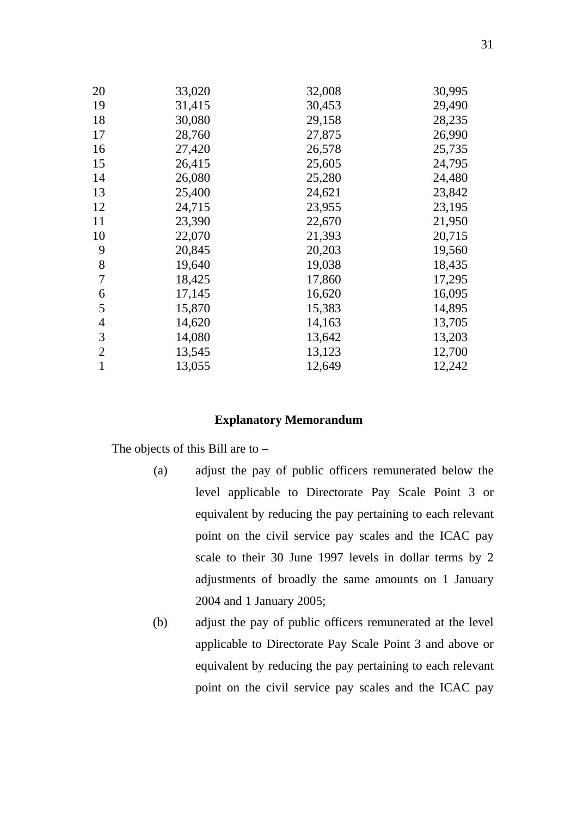| 20             | 33,020 | 32,008 | 30,995 |
|----------------|--------|--------|--------|
| 19             | 31,415 | 30,453 | 29,490 |
| 18             | 30,080 | 29,158 | 28,235 |
| 17             | 28,760 | 27,875 | 26,990 |
| 16             | 27,420 | 26,578 | 25,735 |
| 15             | 26,415 | 25,605 | 24,795 |
| 14             | 26,080 | 25,280 | 24,480 |
| 13             | 25,400 | 24,621 | 23,842 |
| 12             | 24,715 | 23,955 | 23,195 |
| 11             | 23,390 | 22,670 | 21,950 |
| 10             | 22,070 | 21,393 | 20,715 |
| 9              | 20,845 | 20,203 | 19,560 |
| 8              | 19,640 | 19,038 | 18,435 |
| 7              | 18,425 | 17,860 | 17,295 |
| 6              | 17,145 | 16,620 | 16,095 |
| 5              | 15,870 | 15,383 | 14,895 |
| $\overline{4}$ | 14,620 | 14,163 | 13,705 |
| 3              | 14,080 | 13,642 | 13,203 |
| $\overline{2}$ | 13,545 | 13,123 | 12,700 |
| 1              | 13,055 | 12,649 | 12,242 |

#### **Explanatory Memorandum**

The objects of this Bill are to –

- (a) adjust the pay of public officers remunerated below the level applicable to Directorate Pay Scale Point 3 or equivalent by reducing the pay pertaining to each relevant point on the civil service pay scales and the ICAC pay scale to their 30 June 1997 levels in dollar terms by 2 adjustments of broadly the same amounts on 1 January 2004 and 1 January 2005;
- (b) adjust the pay of public officers remunerated at the level applicable to Directorate Pay Scale Point 3 and above or equivalent by reducing the pay pertaining to each relevant point on the civil service pay scales and the ICAC pay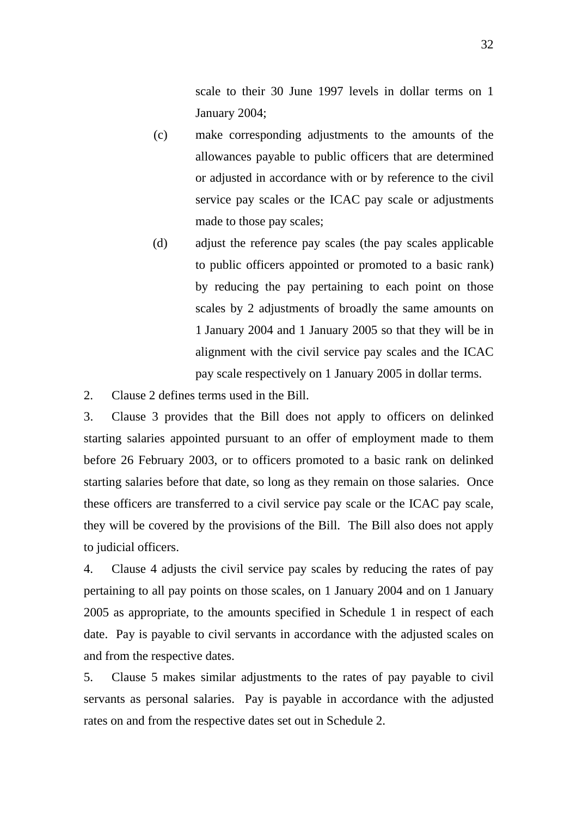scale to their 30 June 1997 levels in dollar terms on 1 January 2004;

- (c) make corresponding adjustments to the amounts of the allowances payable to public officers that are determined or adjusted in accordance with or by reference to the civil service pay scales or the ICAC pay scale or adjustments made to those pay scales;
- (d) adjust the reference pay scales (the pay scales applicable to public officers appointed or promoted to a basic rank) by reducing the pay pertaining to each point on those scales by 2 adjustments of broadly the same amounts on 1 January 2004 and 1 January 2005 so that they will be in alignment with the civil service pay scales and the ICAC pay scale respectively on 1 January 2005 in dollar terms.
- 2. Clause 2 defines terms used in the Bill.

3. Clause 3 provides that the Bill does not apply to officers on delinked starting salaries appointed pursuant to an offer of employment made to them before 26 February 2003, or to officers promoted to a basic rank on delinked starting salaries before that date, so long as they remain on those salaries. Once these officers are transferred to a civil service pay scale or the ICAC pay scale, they will be covered by the provisions of the Bill. The Bill also does not apply to judicial officers.

4. Clause 4 adjusts the civil service pay scales by reducing the rates of pay pertaining to all pay points on those scales, on 1 January 2004 and on 1 January 2005 as appropriate, to the amounts specified in Schedule 1 in respect of each date. Pay is payable to civil servants in accordance with the adjusted scales on and from the respective dates.

5. Clause 5 makes similar adjustments to the rates of pay payable to civil servants as personal salaries. Pay is payable in accordance with the adjusted rates on and from the respective dates set out in Schedule 2.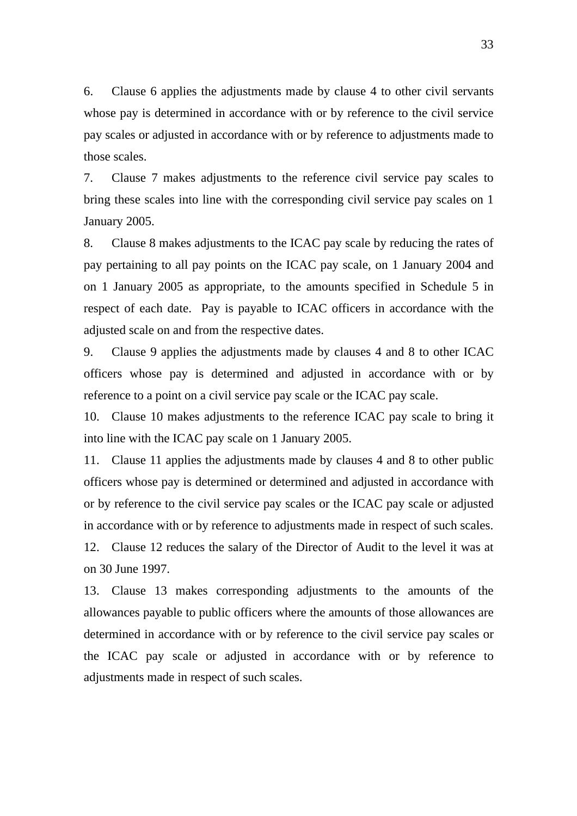6. Clause 6 applies the adjustments made by clause 4 to other civil servants whose pay is determined in accordance with or by reference to the civil service pay scales or adjusted in accordance with or by reference to adjustments made to those scales.

7. Clause 7 makes adjustments to the reference civil service pay scales to bring these scales into line with the corresponding civil service pay scales on 1 January 2005.

8. Clause 8 makes adjustments to the ICAC pay scale by reducing the rates of pay pertaining to all pay points on the ICAC pay scale, on 1 January 2004 and on 1 January 2005 as appropriate, to the amounts specified in Schedule 5 in respect of each date. Pay is payable to ICAC officers in accordance with the adjusted scale on and from the respective dates.

9. Clause 9 applies the adjustments made by clauses 4 and 8 to other ICAC officers whose pay is determined and adjusted in accordance with or by reference to a point on a civil service pay scale or the ICAC pay scale.

10. Clause 10 makes adjustments to the reference ICAC pay scale to bring it into line with the ICAC pay scale on 1 January 2005.

11. Clause 11 applies the adjustments made by clauses 4 and 8 to other public officers whose pay is determined or determined and adjusted in accordance with or by reference to the civil service pay scales or the ICAC pay scale or adjusted in accordance with or by reference to adjustments made in respect of such scales.

12. Clause 12 reduces the salary of the Director of Audit to the level it was at on 30 June 1997.

13. Clause 13 makes corresponding adjustments to the amounts of the allowances payable to public officers where the amounts of those allowances are determined in accordance with or by reference to the civil service pay scales or the ICAC pay scale or adjusted in accordance with or by reference to adjustments made in respect of such scales.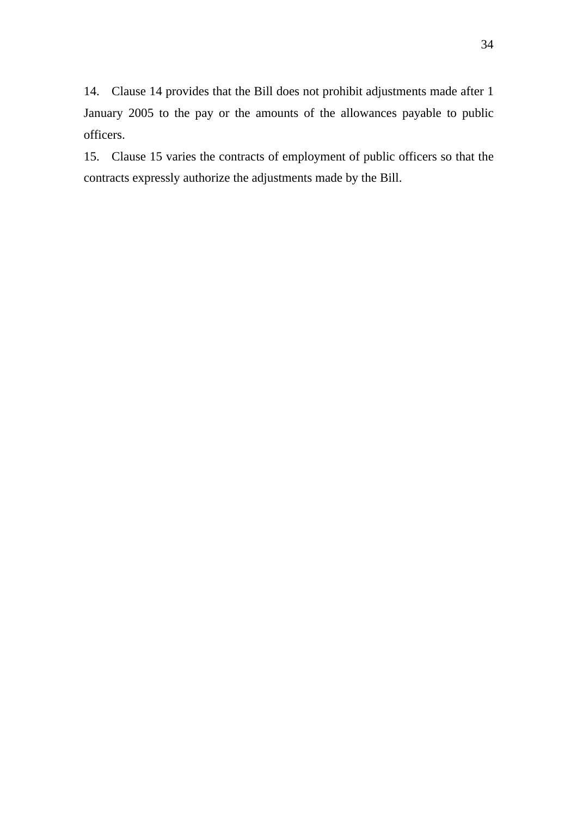14. Clause 14 provides that the Bill does not prohibit adjustments made after 1 January 2005 to the pay or the amounts of the allowances payable to public officers.

15. Clause 15 varies the contracts of employment of public officers so that the contracts expressly authorize the adjustments made by the Bill.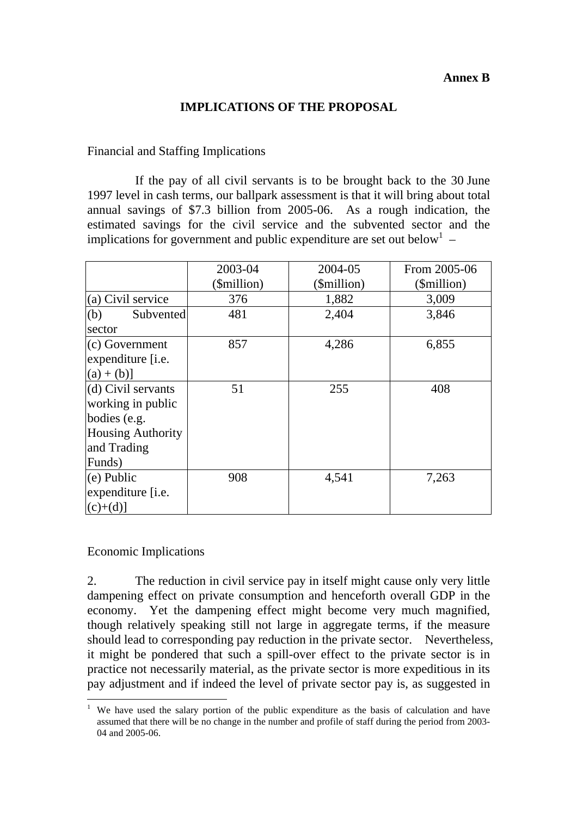#### **Annex B**

### **IMPLICATIONS OF THE PROPOSAL**

#### Financial and Staffing Implications

 If the pay of all civil servants is to be brought back to the 30 June 1997 level in cash terms, our ballpark assessment is that it will bring about total annual savings of \$7.3 billion from 2005-06. As a rough indication, the estimated savings for the civil service and the subvented sector and the implications for government and public expenditure are set out below<sup>1</sup> –

|                                                                                                              | 2003-04<br>(\$million) | 2004-05<br>(\$million) | From 2005-06<br>(\$million) |
|--------------------------------------------------------------------------------------------------------------|------------------------|------------------------|-----------------------------|
| (a) Civil service                                                                                            | 376                    | 1,882                  | 3,009                       |
| (b)<br>Subvented<br>sector                                                                                   | 481                    | 2,404                  | 3,846                       |
| $(c)$ Government<br>expenditure [i.e.<br>$(a) + (b)$ ]                                                       | 857                    | 4,286                  | 6,855                       |
| (d) Civil servants<br>working in public<br>bodies (e.g.<br><b>Housing Authority</b><br>and Trading<br>Funds) | 51                     | 255                    | 408                         |
| $(e)$ Public<br>expenditure [i.e.<br>$(c)+(d)$                                                               | 908                    | 4,541                  | 7,263                       |

#### Economic Implications

2. The reduction in civil service pay in itself might cause only very little dampening effect on private consumption and henceforth overall GDP in the economy. Yet the dampening effect might become very much magnified, though relatively speaking still not large in aggregate terms, if the measure should lead to corresponding pay reduction in the private sector. Nevertheless, it might be pondered that such a spill-over effect to the private sector is in practice not necessarily material, as the private sector is more expeditious in its pay adjustment and if indeed the level of private sector pay is, as suggested in

 $\overline{a}$ 1 We have used the salary portion of the public expenditure as the basis of calculation and have assumed that there will be no change in the number and profile of staff during the period from 2003- 04 and 2005-06.